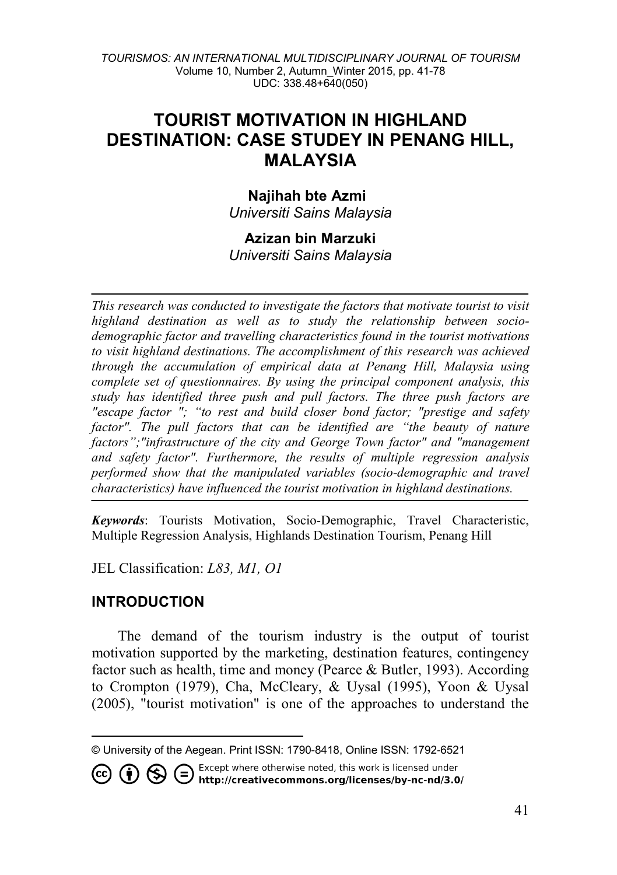# **TOURIST MOTIVATION IN HIGHLAND DESTINATION: CASE STUDEY IN PENANG HILL, MALAYSIA**

# **Najihah bte Azmi**

*Universiti Sains Malaysia*

## **Azizan bin Marzuki** *Universiti Sains Malaysia*

*This research was conducted to investigate the factors that motivate tourist to visit highland destination as well as to study the relationship between sociodemographic factor and travelling characteristics found in the tourist motivations to visit highland destinations. The accomplishment of this research was achieved through the accumulation of empirical data at Penang Hill, Malaysia using complete set of questionnaires. By using the principal component analysis, this study has identified three push and pull factors. The three push factors are "escape factor "; "to rest and build closer bond factor; "prestige and safety*  factor". The pull factors that can be identified are "the beauty of nature *factors";"infrastructure of the city and George Town factor" and "management and safety factor". Furthermore, the results of multiple regression analysis performed show that the manipulated variables (socio-demographic and travel characteristics) have influenced the tourist motivation in highland destinations.*

*Keywords*: Tourists Motivation, Socio-Demographic, Travel Characteristic, Multiple Regression Analysis, Highlands Destination Tourism, Penang Hill

JEL Classification: *L83, M1, O1*

# **INTRODUCTION**

The demand of the tourism industry is the output of tourist motivation supported by the marketing, destination features, contingency factor such as health, time and money (Pearce & Butler, 1993). According to Crompton (1979), Cha, McCleary, & Uysal (1995), Yoon & Uysal (2005), "tourist motivation" is one of the approaches to understand the

Except where otherwise noted, this work is licensed under **1** S C Except where otherwise noted, this work is licensed under<br>http://creativecommons.org/licenses/by-nc-nd/3.0/

<span id="page-0-0"></span> $\overline{a}$ © University of the Aegean. Print ISSN: 1790-8418, Online ISSN: 1792-6521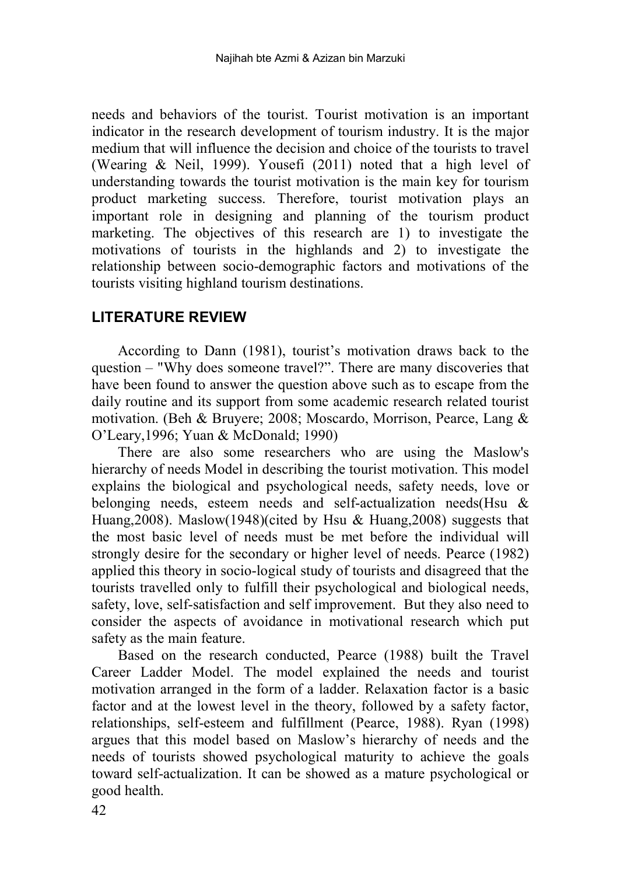needs and behaviors of the tourist. Tourist motivation is an important indicator in the research development of tourism industry. It is the major medium that will influence the decision and choice of the tourists to travel (Wearing & Neil, 1999). Yousefi (2011) noted that a high level of understanding towards the tourist motivation is the main key for tourism product marketing success. Therefore, tourist motivation plays an important role in designing and planning of the tourism product marketing. The objectives of this research are 1) to investigate the motivations of tourists in the highlands and 2) to investigate the relationship between socio-demographic factors and motivations of the tourists visiting highland tourism destinations.

## **LITERATURE REVIEW**

According to Dann (1981), tourist's motivation draws back to the question – "Why does someone travel?". There are many discoveries that have been found to answer the question above such as to escape from the daily routine and its support from some academic research related tourist motivation. (Beh & Bruyere; 2008; Moscardo, Morrison, Pearce, Lang & O'Leary,1996; Yuan & McDonald; 1990)

There are also some researchers who are using the Maslow's hierarchy of needs Model in describing the tourist motivation. This model explains the biological and psychological needs, safety needs, love or belonging needs, esteem needs and self-actualization needs(Hsu & Huang,2008). Maslow(1948)(cited by Hsu & Huang,2008) suggests that the most basic level of needs must be met before the individual will strongly desire for the secondary or higher level of needs. Pearce (1982) applied this theory in socio-logical study of tourists and disagreed that the tourists travelled only to fulfill their psychological and biological needs, safety, love, self-satisfaction and self improvement. But they also need to consider the aspects of avoidance in motivational research which put safety as the main feature.

Based on the research conducted, Pearce (1988) built the Travel Career Ladder Model. The model explained the needs and tourist motivation arranged in the form of a ladder. Relaxation factor is a basic factor and at the lowest level in the theory, followed by a safety factor, relationships, self-esteem and fulfillment (Pearce, 1988). Ryan (1998) argues that this model based on Maslow's hierarchy of needs and the needs of tourists showed psychological maturity to achieve the goals toward self-actualization. It can be showed as a mature psychological or good health.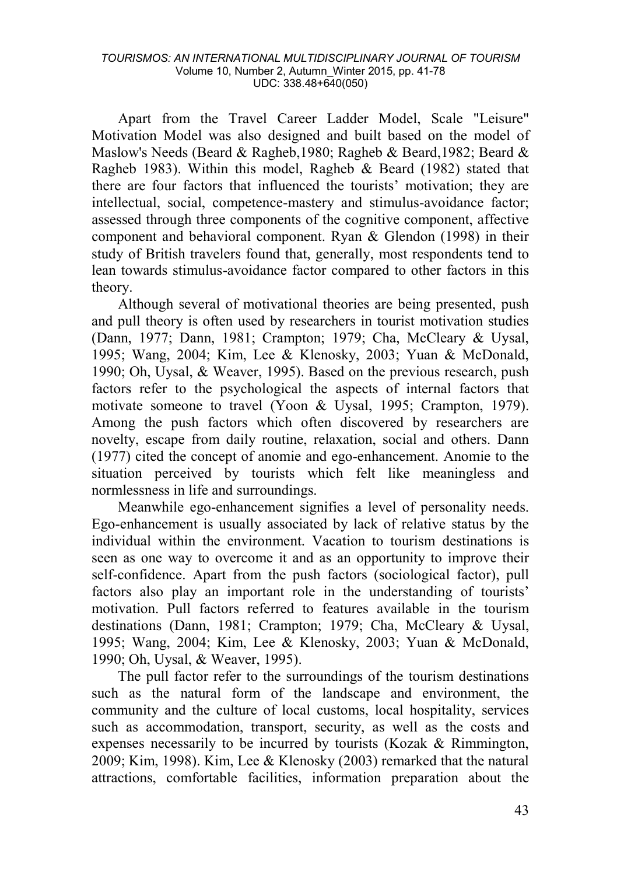Apart from the Travel Career Ladder Model, Scale "Leisure" Motivation Model was also designed and built based on the model of Maslow's Needs (Beard & Ragheb,1980; Ragheb & Beard,1982; Beard & Ragheb 1983). Within this model, Ragheb & Beard (1982) stated that there are four factors that influenced the tourists' motivation; they are intellectual, social, competence-mastery and stimulus-avoidance factor; assessed through three components of the cognitive component, affective component and behavioral component. Ryan & Glendon (1998) in their study of British travelers found that, generally, most respondents tend to lean towards stimulus-avoidance factor compared to other factors in this theory.

Although several of motivational theories are being presented, push and pull theory is often used by researchers in tourist motivation studies (Dann, 1977; Dann, 1981; Crampton; 1979; Cha, McCleary & Uysal, 1995; Wang, 2004; Kim, Lee & Klenosky, 2003; Yuan & McDonald, 1990; Oh, Uysal, & Weaver, 1995). Based on the previous research, push factors refer to the psychological the aspects of internal factors that motivate someone to travel (Yoon & Uysal, 1995; Crampton, 1979). Among the push factors which often discovered by researchers are novelty, escape from daily routine, relaxation, social and others. Dann (1977) cited the concept of anomie and ego-enhancement. Anomie to the situation perceived by tourists which felt like meaningless and normlessness in life and surroundings.

Meanwhile ego-enhancement signifies a level of personality needs. Ego-enhancement is usually associated by lack of relative status by the individual within the environment. Vacation to tourism destinations is seen as one way to overcome it and as an opportunity to improve their self-confidence. Apart from the push factors (sociological factor), pull factors also play an important role in the understanding of tourists' motivation. Pull factors referred to features available in the tourism destinations (Dann, 1981; Crampton; 1979; Cha, McCleary & Uysal, 1995; Wang, 2004; Kim, Lee & Klenosky, 2003; Yuan & McDonald, 1990; Oh, Uysal, & Weaver, 1995).

The pull factor refer to the surroundings of the tourism destinations such as the natural form of the landscape and environment, the community and the culture of local customs, local hospitality, services such as accommodation, transport, security, as well as the costs and expenses necessarily to be incurred by tourists (Kozak & Rimmington, 2009; Kim, 1998). Kim, Lee & Klenosky (2003) remarked that the natural attractions, comfortable facilities, information preparation about the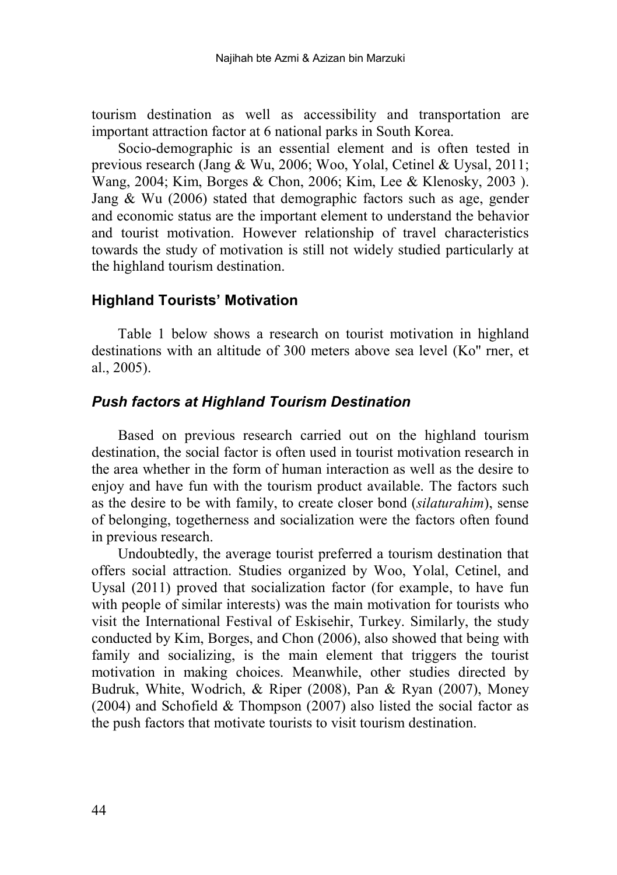tourism destination as well as accessibility and transportation are important attraction factor at 6 national parks in South Korea.

Socio-demographic is an essential element and is often tested in previous research (Jang & Wu, 2006; Woo, Yolal, Cetinel & Uysal, 2011; Wang, 2004; Kim, Borges & Chon, 2006; Kim, Lee & Klenosky, 2003 ). Jang & Wu (2006) stated that demographic factors such as age, gender and economic status are the important element to understand the behavior and tourist motivation. However relationship of travel characteristics towards the study of motivation is still not widely studied particularly at the highland tourism destination.

## **Highland Tourists' Motivation**

Table 1 below shows a research on tourist motivation in highland destinations with an altitude of 300 meters above sea level (Ko'' rner, et al., 2005).

## *Push factors at Highland Tourism Destination*

Based on previous research carried out on the highland tourism destination, the social factor is often used in tourist motivation research in the area whether in the form of human interaction as well as the desire to enjoy and have fun with the tourism product available. The factors such as the desire to be with family, to create closer bond (*silaturahim*), sense of belonging, togetherness and socialization were the factors often found in previous research.

Undoubtedly, the average tourist preferred a tourism destination that offers social attraction. Studies organized by Woo, Yolal, Cetinel, and Uysal (2011) proved that socialization factor (for example, to have fun with people of similar interests) was the main motivation for tourists who visit the International Festival of Eskisehir, Turkey. Similarly, the study conducted by Kim, Borges, and Chon (2006), also showed that being with family and socializing, is the main element that triggers the tourist motivation in making choices. Meanwhile, other studies directed by Budruk, White, Wodrich, & Riper (2008), Pan & Ryan (2007), Money (2004) and Schofield & Thompson (2007) also listed the social factor as the push factors that motivate tourists to visit tourism destination.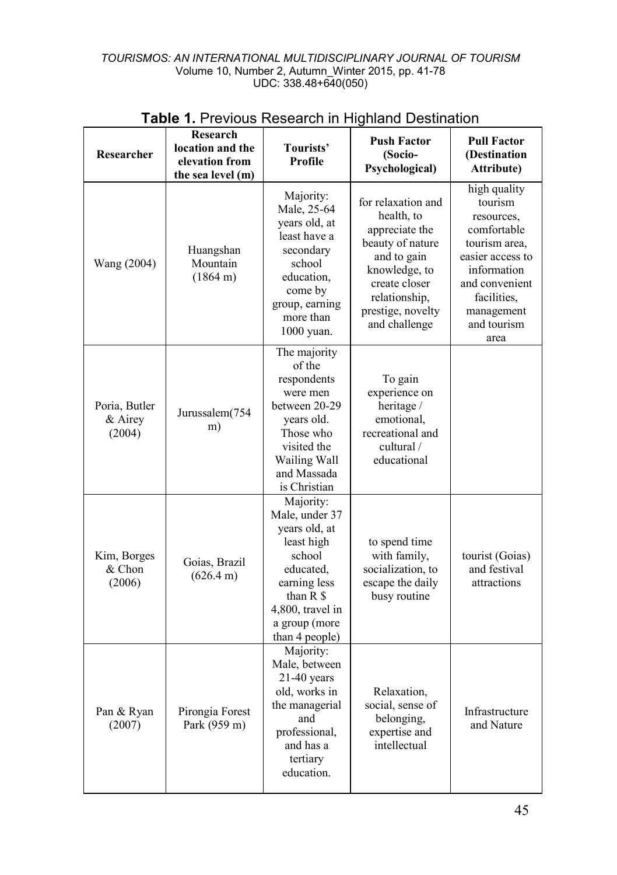| Researcher                         | Research<br>location and the<br>elevation from<br>the sea level (m) | Tourists'<br>Profile                                                                                                                                                                    | <b>Push Factor</b><br>(Socio-<br>Psychological)                                                                                                                                | <b>Pull Factor</b><br>(Destination<br><b>Attribute)</b>                                                                                                                        |
|------------------------------------|---------------------------------------------------------------------|-----------------------------------------------------------------------------------------------------------------------------------------------------------------------------------------|--------------------------------------------------------------------------------------------------------------------------------------------------------------------------------|--------------------------------------------------------------------------------------------------------------------------------------------------------------------------------|
| Wang (2004)                        | Huangshan<br>Mountain<br>$(1864 \text{ m})$                         | Majority:<br>Male, 25-64<br>years old, at<br>least have a<br>secondary<br>school<br>education.<br>come by<br>group, earning<br>more than<br>1000 yuan.                                  | for relaxation and<br>health, to<br>appreciate the<br>beauty of nature<br>and to gain<br>knowledge, to<br>create closer<br>relationship,<br>prestige, novelty<br>and challenge | high quality<br>tourism<br>resources,<br>comfortable<br>tourism area.<br>easier access to<br>information<br>and convenient<br>facilities.<br>management<br>and tourism<br>area |
| Poria, Butler<br>& Airey<br>(2004) | Jurussalem(754<br>m)                                                | The majority<br>of the<br>respondents<br>were men<br>between 20-29<br>vears old.<br>Those who<br>visited the<br>Wailing Wall<br>and Massada<br>is Christian                             | To gain<br>experience on<br>heritage /<br>emotional.<br>recreational and<br>cultural /<br>educational                                                                          |                                                                                                                                                                                |
| Kim, Borges<br>& Chon<br>(2006)    | Goias, Brazil<br>(626.4 m)                                          | Majority:<br>Male, under 37<br>years old, at<br>least high<br>school<br>educated.<br>earning less<br>than $R$ $\hat{\mathbf{S}}$<br>4,800, travel in<br>a group (more<br>than 4 people) | to spend time<br>with family,<br>socialization, to<br>escape the daily<br>busy routine                                                                                         | tourist (Goias)<br>and festival<br>attractions                                                                                                                                 |
| Pan & Ryan<br>(2007)               | Pirongia Forest<br>Park (959 m)                                     | Majority:<br>Male, between<br>$21-40$ years<br>old, works in<br>the managerial<br>and<br>professional,<br>and has a<br>tertiary<br>education.                                           | Relaxation.<br>social, sense of<br>belonging,<br>expertise and<br>intellectual                                                                                                 | Infrastructure<br>and Nature                                                                                                                                                   |

# **Table 1.** Previous Research in Highland Destination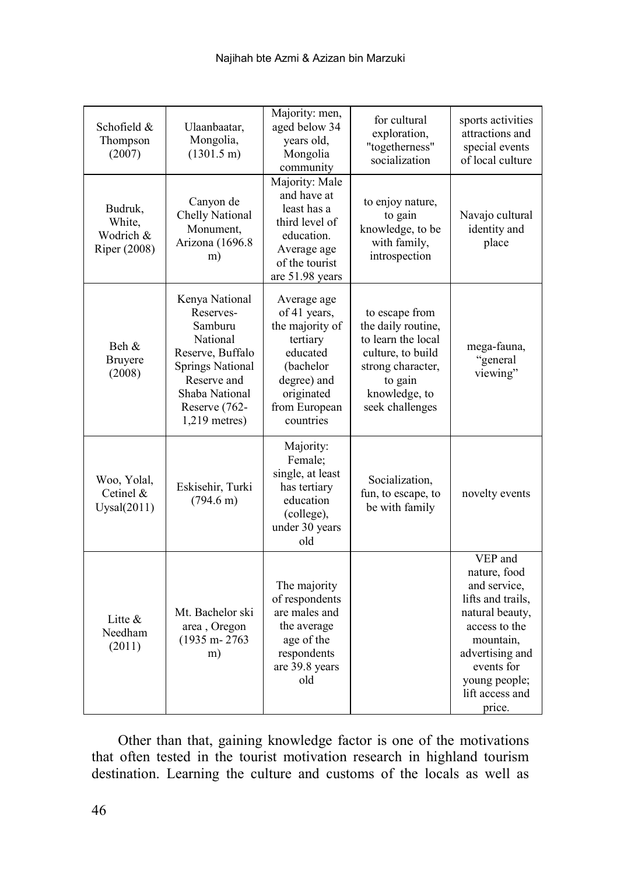| Schofield &<br>Thompson<br>(2007)              | Ulaanbaatar,<br>Mongolia,<br>$(1301.5 \text{ m})$                                                                                                                      | Majority: men,<br>aged below 34<br>years old,<br>Mongolia<br>community                                                                         | for cultural<br>exploration,<br>"togetherness"<br>socialization                                                                                     | sports activities<br>attractions and<br>special events<br>of local culture                                                                                                                   |
|------------------------------------------------|------------------------------------------------------------------------------------------------------------------------------------------------------------------------|------------------------------------------------------------------------------------------------------------------------------------------------|-----------------------------------------------------------------------------------------------------------------------------------------------------|----------------------------------------------------------------------------------------------------------------------------------------------------------------------------------------------|
| Budruk,<br>White,<br>Wodrich &<br>Riper (2008) | Canyon de<br>Chelly National<br>Monument,<br>Arizona (1696.8<br>m)                                                                                                     | Majority: Male<br>and have at<br>least has a<br>third level of<br>education.<br>Average age<br>of the tourist<br>are 51.98 years               | to enjoy nature,<br>to gain<br>knowledge, to be<br>with family,<br>introspection                                                                    | Navajo cultural<br>identity and<br>place                                                                                                                                                     |
| Beh &<br><b>Bruyere</b><br>(2008)              | Kenya National<br>Reserves-<br>Samburu<br>National<br>Reserve, Buffalo<br><b>Springs National</b><br>Reserve and<br>Shaba National<br>Reserve (762-<br>$1,219$ metres) | Average age<br>of 41 years,<br>the majority of<br>tertiary<br>educated<br>(bachelor<br>degree) and<br>originated<br>from European<br>countries | to escape from<br>the daily routine,<br>to learn the local<br>culture, to build<br>strong character,<br>to gain<br>knowledge, to<br>seek challenges | mega-fauna,<br>"general<br>viewing"                                                                                                                                                          |
| Woo, Yolal,<br>Cetinel $&$<br>Uysal(2011)      | Eskisehir, Turki<br>$(794.6 \text{ m})$                                                                                                                                | Majority:<br>Female;<br>single, at least<br>has tertiary<br>education<br>(college),<br>under 30 years<br>old                                   | Socialization,<br>fun, to escape, to<br>be with family                                                                                              | novelty events                                                                                                                                                                               |
| Litte $&$<br>Needham<br>(2011)                 | Mt. Bachelor ski<br>area, Oregon<br>$(1935 m - 2763)$<br>m)                                                                                                            | The majority<br>of respondents<br>are males and<br>the average<br>age of the<br>respondents<br>are 39.8 years<br>old                           |                                                                                                                                                     | VEP and<br>nature, food<br>and service,<br>lifts and trails,<br>natural beauty,<br>access to the<br>mountain,<br>advertising and<br>events for<br>young people;<br>lift access and<br>price. |

Other than that, gaining knowledge factor is one of the motivations that often tested in the tourist motivation research in highland tourism destination. Learning the culture and customs of the locals as well as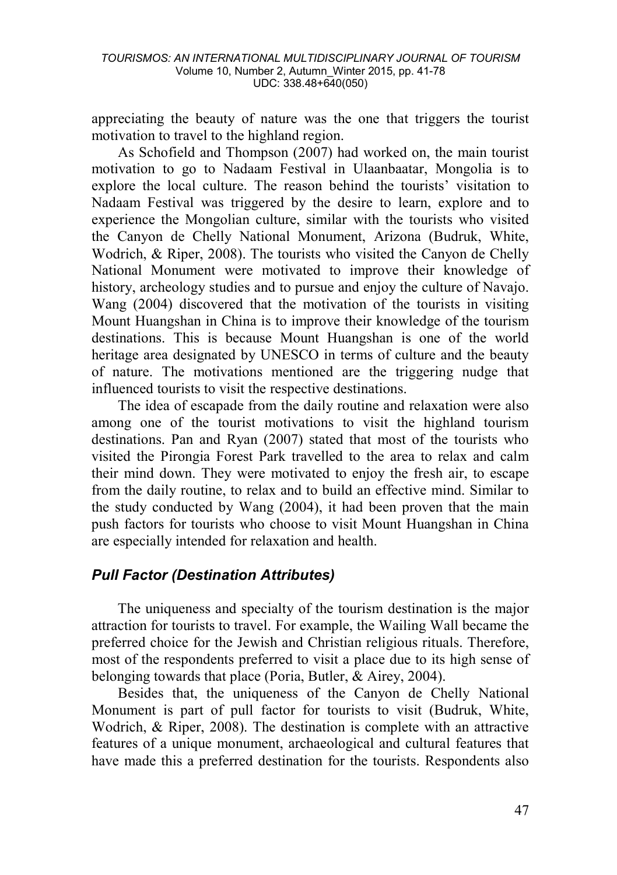appreciating the beauty of nature was the one that triggers the tourist motivation to travel to the highland region.

As Schofield and Thompson (2007) had worked on, the main tourist motivation to go to Nadaam Festival in Ulaanbaatar, Mongolia is to explore the local culture. The reason behind the tourists' visitation to Nadaam Festival was triggered by the desire to learn, explore and to experience the Mongolian culture, similar with the tourists who visited the Canyon de Chelly National Monument, Arizona (Budruk, White, Wodrich, & Riper, 2008). The tourists who visited the Canyon de Chelly National Monument were motivated to improve their knowledge of history, archeology studies and to pursue and enjoy the culture of Navajo. Wang (2004) discovered that the motivation of the tourists in visiting Mount Huangshan in China is to improve their knowledge of the tourism destinations. This is because Mount Huangshan is one of the world heritage area designated by UNESCO in terms of culture and the beauty of nature. The motivations mentioned are the triggering nudge that influenced tourists to visit the respective destinations.

The idea of escapade from the daily routine and relaxation were also among one of the tourist motivations to visit the highland tourism destinations. Pan and Ryan (2007) stated that most of the tourists who visited the Pirongia Forest Park travelled to the area to relax and calm their mind down. They were motivated to enjoy the fresh air, to escape from the daily routine, to relax and to build an effective mind. Similar to the study conducted by Wang (2004), it had been proven that the main push factors for tourists who choose to visit Mount Huangshan in China are especially intended for relaxation and health.

# *Pull Factor (Destination Attributes)*

The uniqueness and specialty of the tourism destination is the major attraction for tourists to travel. For example, the Wailing Wall became the preferred choice for the Jewish and Christian religious rituals. Therefore, most of the respondents preferred to visit a place due to its high sense of belonging towards that place (Poria, Butler, & Airey, 2004).

Besides that, the uniqueness of the Canyon de Chelly National Monument is part of pull factor for tourists to visit (Budruk, White, Wodrich, & Riper, 2008). The destination is complete with an attractive features of a unique monument, archaeological and cultural features that have made this a preferred destination for the tourists. Respondents also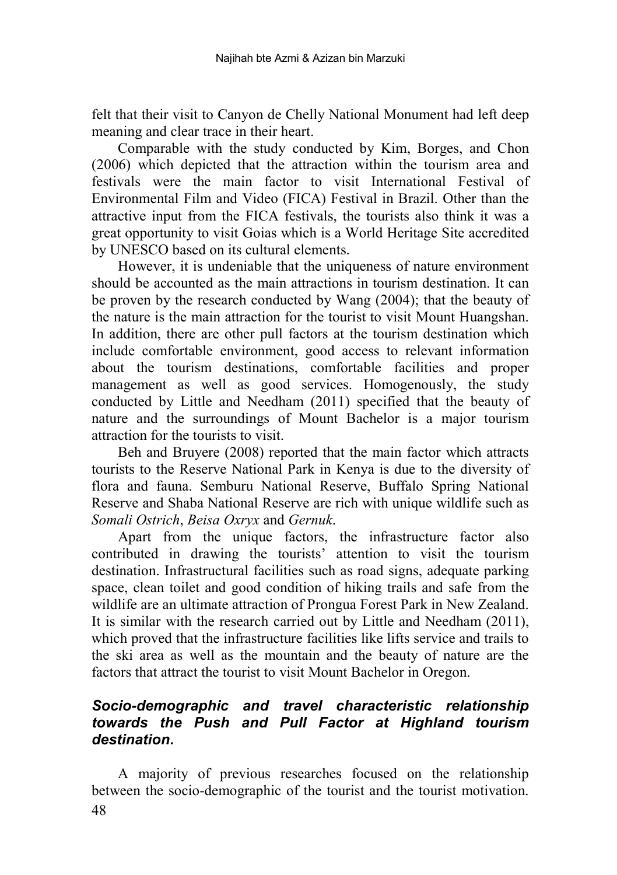felt that their visit to Canyon de Chelly National Monument had left deep meaning and clear trace in their heart.

Comparable with the study conducted by Kim, Borges, and Chon (2006) which depicted that the attraction within the tourism area and festivals were the main factor to visit International Festival of Environmental Film and Video (FICA) Festival in Brazil. Other than the attractive input from the FICA festivals, the tourists also think it was a great opportunity to visit Goias which is a World Heritage Site accredited by UNESCO based on its cultural elements.

However, it is undeniable that the uniqueness of nature environment should be accounted as the main attractions in tourism destination. It can be proven by the research conducted by Wang (2004); that the beauty of the nature is the main attraction for the tourist to visit Mount Huangshan. In addition, there are other pull factors at the tourism destination which include comfortable environment, good access to relevant information about the tourism destinations, comfortable facilities and proper management as well as good services. Homogenously, the study conducted by Little and Needham (2011) specified that the beauty of nature and the surroundings of Mount Bachelor is a major tourism attraction for the tourists to visit.

Beh and Bruyere (2008) reported that the main factor which attracts tourists to the Reserve National Park in Kenya is due to the diversity of flora and fauna. Semburu National Reserve, Buffalo Spring National Reserve and Shaba National Reserve are rich with unique wildlife such as *Somali Ostrich*, *Beisa Oxryx* and *Gernuk*.

Apart from the unique factors, the infrastructure factor also contributed in drawing the tourists' attention to visit the tourism destination. Infrastructural facilities such as road signs, adequate parking space, clean toilet and good condition of hiking trails and safe from the wildlife are an ultimate attraction of Prongua Forest Park in New Zealand. It is similar with the research carried out by Little and Needham (2011), which proved that the infrastructure facilities like lifts service and trails to the ski area as well as the mountain and the beauty of nature are the factors that attract the tourist to visit Mount Bachelor in Oregon.

## *Socio-demographic and travel characteristic relationship towards the Push and Pull Factor at Highland tourism destination***.**

48 A majority of previous researches focused on the relationship between the socio-demographic of the tourist and the tourist motivation.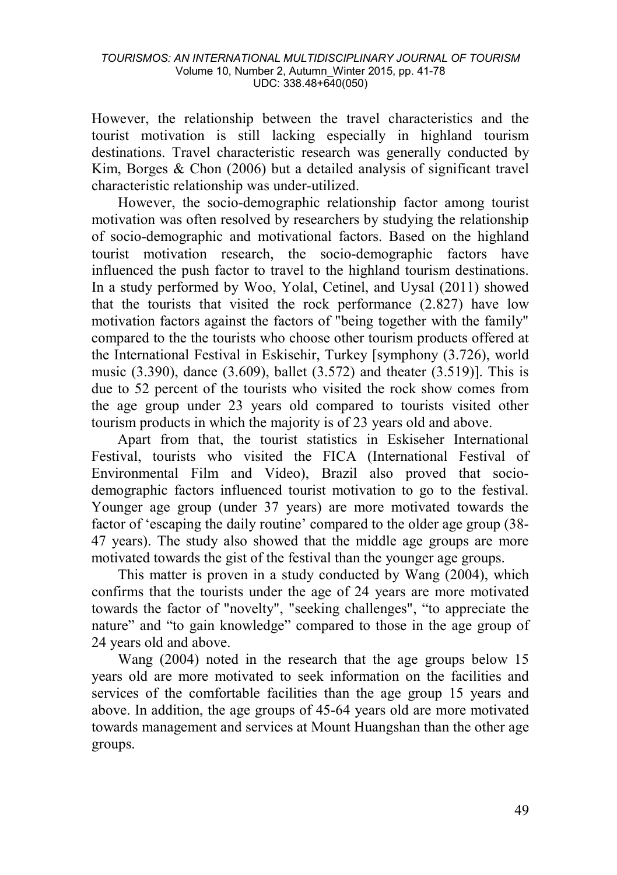However, the relationship between the travel characteristics and the tourist motivation is still lacking especially in highland tourism destinations. Travel characteristic research was generally conducted by Kim, Borges & Chon (2006) but a detailed analysis of significant travel characteristic relationship was under-utilized.

However, the socio-demographic relationship factor among tourist motivation was often resolved by researchers by studying the relationship of socio-demographic and motivational factors. Based on the highland tourist motivation research, the socio-demographic factors have influenced the push factor to travel to the highland tourism destinations. In a study performed by Woo, Yolal, Cetinel, and Uysal (2011) showed that the tourists that visited the rock performance (2.827) have low motivation factors against the factors of "being together with the family" compared to the the tourists who choose other tourism products offered at the International Festival in Eskisehir, Turkey [symphony (3.726), world music (3.390), dance (3.609), ballet (3.572) and theater (3.519)]. This is due to 52 percent of the tourists who visited the rock show comes from the age group under 23 years old compared to tourists visited other tourism products in which the majority is of 23 years old and above.

Apart from that, the tourist statistics in Eskiseher International Festival, tourists who visited the FICA (International Festival of Environmental Film and Video), Brazil also proved that sociodemographic factors influenced tourist motivation to go to the festival. Younger age group (under 37 years) are more motivated towards the factor of 'escaping the daily routine' compared to the older age group (38- 47 years). The study also showed that the middle age groups are more motivated towards the gist of the festival than the younger age groups.

This matter is proven in a study conducted by Wang (2004), which confirms that the tourists under the age of 24 years are more motivated towards the factor of "novelty", "seeking challenges", "to appreciate the nature" and "to gain knowledge" compared to those in the age group of 24 years old and above.

Wang (2004) noted in the research that the age groups below 15 years old are more motivated to seek information on the facilities and services of the comfortable facilities than the age group 15 years and above. In addition, the age groups of 45-64 years old are more motivated towards management and services at Mount Huangshan than the other age groups.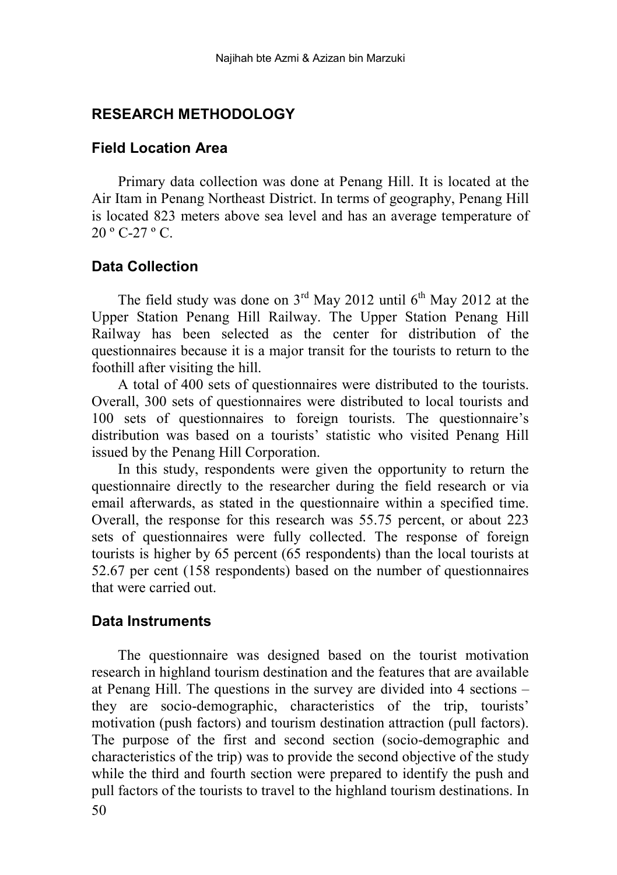## **RESEARCH METHODOLOGY**

## **Field Location Area**

Primary data collection was done at Penang Hill. It is located at the Air Itam in Penang Northeast District. In terms of geography, Penang Hill is located 823 meters above sea level and has an average temperature of 20 º C-27 º C.

## **Data Collection**

The field study was done on  $3<sup>rd</sup>$  May 2012 until  $6<sup>th</sup>$  May 2012 at the Upper Station Penang Hill Railway. The Upper Station Penang Hill Railway has been selected as the center for distribution of the questionnaires because it is a major transit for the tourists to return to the foothill after visiting the hill.

A total of 400 sets of questionnaires were distributed to the tourists. Overall, 300 sets of questionnaires were distributed to local tourists and 100 sets of questionnaires to foreign tourists. The questionnaire's distribution was based on a tourists' statistic who visited Penang Hill issued by the Penang Hill Corporation.

In this study, respondents were given the opportunity to return the questionnaire directly to the researcher during the field research or via email afterwards, as stated in the questionnaire within a specified time. Overall, the response for this research was 55.75 percent, or about 223 sets of questionnaires were fully collected. The response of foreign tourists is higher by 65 percent (65 respondents) than the local tourists at 52.67 per cent (158 respondents) based on the number of questionnaires that were carried out.

## **Data Instruments**

50 The questionnaire was designed based on the tourist motivation research in highland tourism destination and the features that are available at Penang Hill. The questions in the survey are divided into 4 sections – they are socio-demographic, characteristics of the trip, tourists' motivation (push factors) and tourism destination attraction (pull factors). The purpose of the first and second section (socio-demographic and characteristics of the trip) was to provide the second objective of the study while the third and fourth section were prepared to identify the push and pull factors of the tourists to travel to the highland tourism destinations. In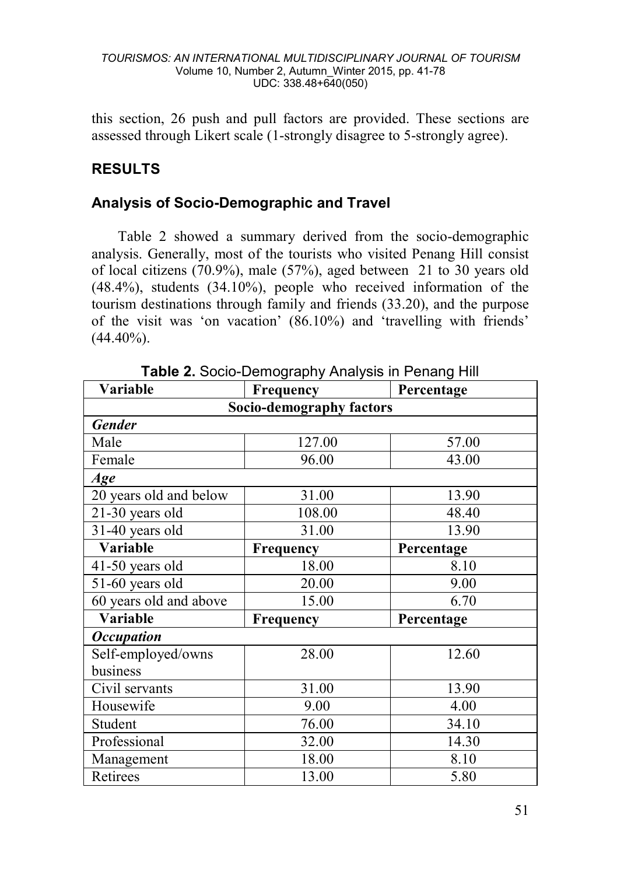this section, 26 push and pull factors are provided. These sections are assessed through Likert scale (1-strongly disagree to 5-strongly agree).

# **RESULTS**

# **Analysis of Socio-Demographic and Travel**

Table 2 showed a summary derived from the socio-demographic analysis. Generally, most of the tourists who visited Penang Hill consist of local citizens (70.9%), male (57%), aged between 21 to 30 years old (48.4%), students (34.10%), people who received information of the tourism destinations through family and friends (33.20), and the purpose of the visit was 'on vacation' (86.10%) and 'travelling with friends'  $(44.40\%)$ .

| Variable                 | Frequency | Percentage |  |  |  |  |  |  |
|--------------------------|-----------|------------|--|--|--|--|--|--|
| Socio-demography factors |           |            |  |  |  |  |  |  |
| <b>Gender</b>            |           |            |  |  |  |  |  |  |
| Male                     | 127.00    | 57.00      |  |  |  |  |  |  |
| Female                   | 96.00     | 43.00      |  |  |  |  |  |  |
| Age                      |           |            |  |  |  |  |  |  |
| 20 years old and below   | 31.00     | 13.90      |  |  |  |  |  |  |
| 21-30 years old          | 108.00    | 48.40      |  |  |  |  |  |  |
| 31-40 years old          | 31.00     | 13.90      |  |  |  |  |  |  |
| Variable                 | Frequency | Percentage |  |  |  |  |  |  |
| 41-50 years old          | 18.00     | 8.10       |  |  |  |  |  |  |
| 51-60 years old          | 20.00     | 9.00       |  |  |  |  |  |  |
| 60 years old and above   | 15.00     | 6.70       |  |  |  |  |  |  |
| Variable                 | Frequency | Percentage |  |  |  |  |  |  |
| <b>Occupation</b>        |           |            |  |  |  |  |  |  |
| Self-employed/owns       | 28.00     | 12.60      |  |  |  |  |  |  |
| business                 |           |            |  |  |  |  |  |  |
| Civil servants           | 31.00     | 13.90      |  |  |  |  |  |  |
| Housewife                | 9.00      | 4.00       |  |  |  |  |  |  |
| Student                  | 76.00     | 34.10      |  |  |  |  |  |  |
| Professional             | 32.00     | 14.30      |  |  |  |  |  |  |
| Management               | 18.00     | 8.10       |  |  |  |  |  |  |
| Retirees                 | 13.00     | 5.80       |  |  |  |  |  |  |

**Table 2.** Socio-Demography Analysis in Penang Hill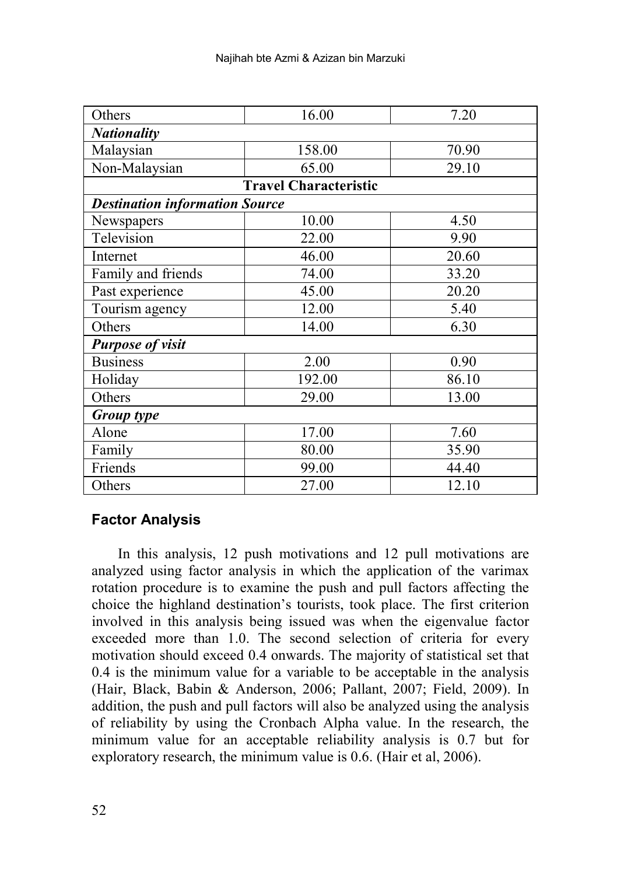| Others                                | 16.00  | 7.20  |  |  |  |  |  |  |  |
|---------------------------------------|--------|-------|--|--|--|--|--|--|--|
| <b>Nationality</b>                    |        |       |  |  |  |  |  |  |  |
| Malaysian                             | 158.00 | 70.90 |  |  |  |  |  |  |  |
| Non-Malaysian                         | 65.00  | 29.10 |  |  |  |  |  |  |  |
| <b>Travel Characteristic</b>          |        |       |  |  |  |  |  |  |  |
| <b>Destination information Source</b> |        |       |  |  |  |  |  |  |  |
| Newspapers                            | 10.00  | 4.50  |  |  |  |  |  |  |  |
| Television                            | 22.00  | 9.90  |  |  |  |  |  |  |  |
| Internet                              | 46.00  | 20.60 |  |  |  |  |  |  |  |
| Family and friends                    | 74.00  | 33.20 |  |  |  |  |  |  |  |
| Past experience                       | 45.00  | 20.20 |  |  |  |  |  |  |  |
| Tourism agency                        | 12.00  | 5.40  |  |  |  |  |  |  |  |
| Others                                | 14.00  | 6.30  |  |  |  |  |  |  |  |
| <b>Purpose of visit</b>               |        |       |  |  |  |  |  |  |  |
| <b>Business</b>                       | 2.00   | 0.90  |  |  |  |  |  |  |  |
| Holiday                               | 192.00 | 86.10 |  |  |  |  |  |  |  |
| Others                                | 29.00  | 13.00 |  |  |  |  |  |  |  |
| Group type                            |        |       |  |  |  |  |  |  |  |
| Alone                                 | 17.00  | 7.60  |  |  |  |  |  |  |  |
| Family                                | 80.00  | 35.90 |  |  |  |  |  |  |  |
| Friends                               | 99.00  | 44.40 |  |  |  |  |  |  |  |
| Others                                | 27.00  | 12.10 |  |  |  |  |  |  |  |

# **Factor Analysis**

In this analysis, 12 push motivations and 12 pull motivations are analyzed using factor analysis in which the application of the varimax rotation procedure is to examine the push and pull factors affecting the choice the highland destination's tourists, took place. The first criterion involved in this analysis being issued was when the eigenvalue factor exceeded more than 1.0. The second selection of criteria for every motivation should exceed 0.4 onwards. The majority of statistical set that 0.4 is the minimum value for a variable to be acceptable in the analysis (Hair, Black, Babin & Anderson, 2006; Pallant, 2007; Field, 2009). In addition, the push and pull factors will also be analyzed using the analysis of reliability by using the Cronbach Alpha value. In the research, the minimum value for an acceptable reliability analysis is 0.7 but for exploratory research, the minimum value is 0.6. (Hair et al, 2006).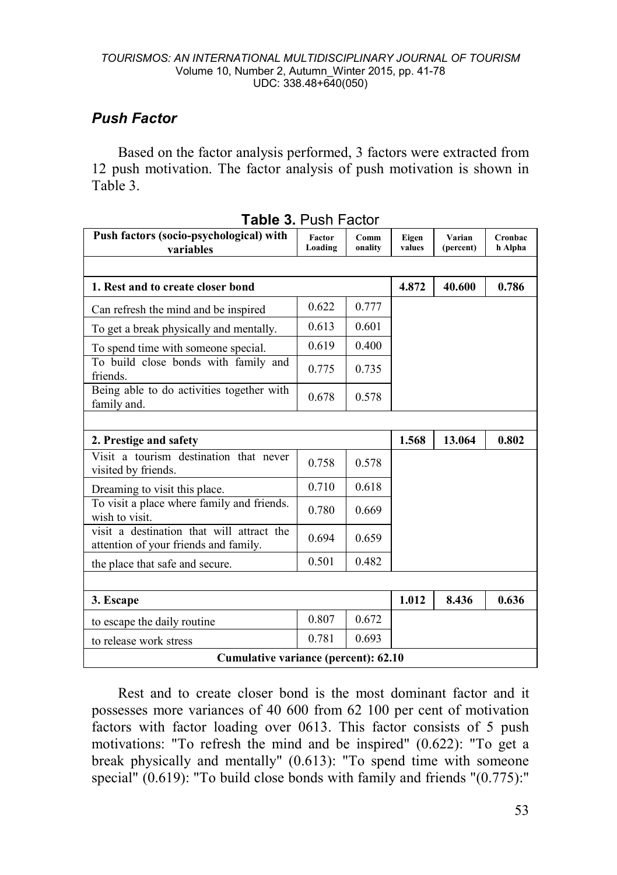# *Push Factor*

Based on the factor analysis performed, 3 factors were extracted from 12 push motivation. The factor analysis of push motivation is shown in Table 3.

| Push factors (socio-psychological) with<br>variables                               | <b>Factor</b><br>Loading | Comm<br>onality | Eigen<br>values | Varian<br>(percent) | Cronbac<br>h Alpha |
|------------------------------------------------------------------------------------|--------------------------|-----------------|-----------------|---------------------|--------------------|
|                                                                                    |                          |                 |                 |                     |                    |
| 1. Rest and to create closer bond                                                  |                          |                 | 4.872           | 40.600              | 0.786              |
| Can refresh the mind and be inspired                                               | 0.622                    | 0.777           |                 |                     |                    |
| To get a break physically and mentally.                                            | 0.613                    | 0.601           |                 |                     |                    |
| To spend time with someone special.                                                | 0.619                    | 0.400           |                 |                     |                    |
| To build close bonds with family and<br>friends.                                   | 0.775                    | 0.735           |                 |                     |                    |
| Being able to do activities together with<br>family and.                           | 0.678                    | 0.578           |                 |                     |                    |
|                                                                                    |                          |                 |                 |                     |                    |
| 2. Prestige and safety                                                             |                          |                 | 1.568           | 13.064              | 0.802              |
| Visit a tourism destination that never<br>visited by friends.                      | 0.758                    | 0.578           |                 |                     |                    |
| Dreaming to visit this place.                                                      | 0.710                    | 0.618           |                 |                     |                    |
| To visit a place where family and friends.<br>wish to visit.                       | 0.780                    | 0.669           |                 |                     |                    |
| visit a destination that will attract the<br>attention of your friends and family. | 0.694                    | 0.659           |                 |                     |                    |
| the place that safe and secure.                                                    | 0.501                    | 0.482           |                 |                     |                    |
|                                                                                    |                          |                 |                 |                     |                    |
| 3. Escape                                                                          |                          |                 | 1.012           | 8.436               | 0.636              |
| to escape the daily routine                                                        | 0.807                    | 0.672           |                 |                     |                    |
| to release work stress                                                             | 0.693                    |                 |                 |                     |                    |
| Cumulative variance (percent): 62.10                                               |                          |                 |                 |                     |                    |

|  | <b>Table 3. Push Factor</b> |
|--|-----------------------------|
|--|-----------------------------|

Rest and to create closer bond is the most dominant factor and it possesses more variances of 40 600 from 62 100 per cent of motivation factors with factor loading over 0613. This factor consists of 5 push motivations: "To refresh the mind and be inspired" (0.622): "To get a break physically and mentally" (0.613): "To spend time with someone special" (0.619): "To build close bonds with family and friends "(0.775):"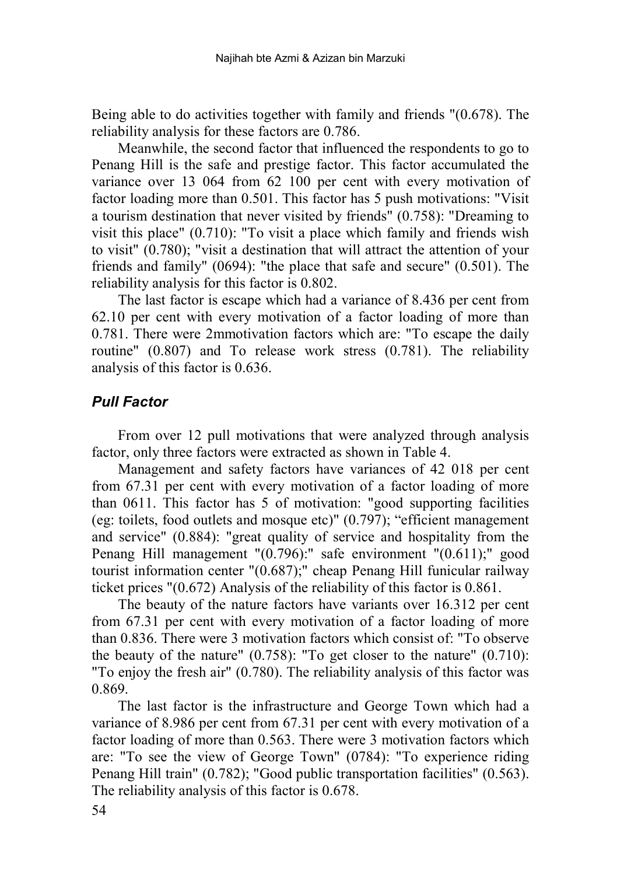Being able to do activities together with family and friends "(0.678). The reliability analysis for these factors are 0.786.

Meanwhile, the second factor that influenced the respondents to go to Penang Hill is the safe and prestige factor. This factor accumulated the variance over 13 064 from 62 100 per cent with every motivation of factor loading more than 0.501. This factor has 5 push motivations: "Visit a tourism destination that never visited by friends" (0.758): "Dreaming to visit this place" (0.710): "To visit a place which family and friends wish to visit" (0.780); "visit a destination that will attract the attention of your friends and family" (0694): "the place that safe and secure" (0.501). The reliability analysis for this factor is 0.802.

The last factor is escape which had a variance of 8.436 per cent from 62.10 per cent with every motivation of a factor loading of more than 0.781. There were 2mmotivation factors which are: "To escape the daily routine" (0.807) and To release work stress (0.781). The reliability analysis of this factor is 0.636.

# *Pull Factor*

From over 12 pull motivations that were analyzed through analysis factor, only three factors were extracted as shown in Table 4.

Management and safety factors have variances of 42 018 per cent from 67.31 per cent with every motivation of a factor loading of more than 0611. This factor has 5 of motivation: "good supporting facilities (eg: toilets, food outlets and mosque etc)"  $(0.797)$ ; "efficient management and service" (0.884): "great quality of service and hospitality from the Penang Hill management "(0.796):" safe environment "(0.611);" good tourist information center "(0.687);" cheap Penang Hill funicular railway ticket prices "(0.672) Analysis of the reliability of this factor is 0.861.

The beauty of the nature factors have variants over 16.312 per cent from 67.31 per cent with every motivation of a factor loading of more than 0.836. There were 3 motivation factors which consist of: "To observe the beauty of the nature" (0.758): "To get closer to the nature" (0.710): "To enjoy the fresh air" (0.780). The reliability analysis of this factor was 0.869.

The last factor is the infrastructure and George Town which had a variance of 8.986 per cent from 67.31 per cent with every motivation of a factor loading of more than 0.563. There were 3 motivation factors which are: "To see the view of George Town" (0784): "To experience riding Penang Hill train" (0.782); "Good public transportation facilities" (0.563). The reliability analysis of this factor is 0.678.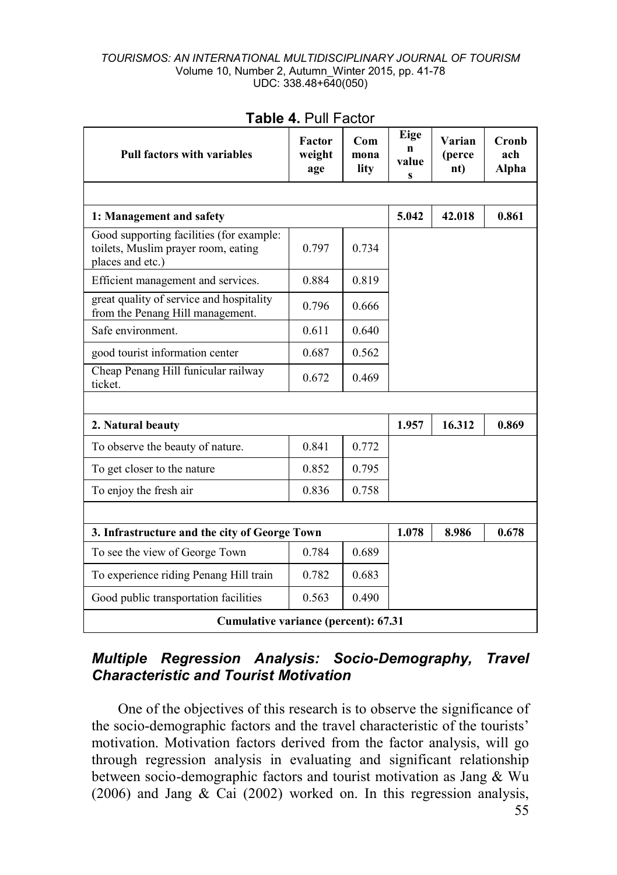| <b>Pull factors with variables</b>                                                                  | Factor<br>weight<br>age | Com<br>mona<br>lity | Eige<br>n<br>value<br>s | Varian<br>(perce<br>$\bf{nt}$ | Cronh<br>ach<br>Alpha |
|-----------------------------------------------------------------------------------------------------|-------------------------|---------------------|-------------------------|-------------------------------|-----------------------|
|                                                                                                     |                         |                     |                         |                               |                       |
| 1: Management and safety                                                                            |                         |                     | 5.042                   | 42.018                        | 0.861                 |
| Good supporting facilities (for example:<br>toilets, Muslim prayer room, eating<br>places and etc.) | 0.797                   | 0.734               |                         |                               |                       |
| Efficient management and services.                                                                  | 0.884                   | 0.819               |                         |                               |                       |
| great quality of service and hospitality<br>from the Penang Hill management.                        | 0.796                   | 0.666               |                         |                               |                       |
| Safe environment.                                                                                   | 0.611                   | 0.640               |                         |                               |                       |
| good tourist information center                                                                     | 0.687                   | 0.562               |                         |                               |                       |
| Cheap Penang Hill funicular railway<br>ticket.                                                      | 0.672                   | 0.469               |                         |                               |                       |
|                                                                                                     |                         |                     |                         |                               |                       |
| 2. Natural beauty                                                                                   |                         |                     | 1.957                   | 16.312                        | 0.869                 |
| To observe the beauty of nature.                                                                    | 0.841                   | 0.772               |                         |                               |                       |
| To get closer to the nature                                                                         | 0.852                   | 0.795               |                         |                               |                       |
| To enjoy the fresh air                                                                              | 0.836                   | 0.758               |                         |                               |                       |
|                                                                                                     |                         |                     |                         |                               |                       |
| 3. Infrastructure and the city of George Town                                                       | 1.078                   | 8.986               | 0.678                   |                               |                       |
| To see the view of George Town                                                                      |                         |                     |                         |                               |                       |
| To experience riding Penang Hill train                                                              | 0.782                   | 0.683               |                         |                               |                       |
| Good public transportation facilities                                                               | 0.490                   |                     |                         |                               |                       |
| Cumulative variance (percent): 67.31                                                                |                         |                     |                         |                               |                       |

## **Table 4.** Pull Factor

# *Multiple Regression Analysis: Socio-Demography, Travel Characteristic and Tourist Motivation*

One of the objectives of this research is to observe the significance of the socio-demographic factors and the travel characteristic of the tourists' motivation. Motivation factors derived from the factor analysis, will go through regression analysis in evaluating and significant relationship between socio-demographic factors and tourist motivation as Jang & Wu (2006) and Jang & Cai (2002) worked on. In this regression analysis,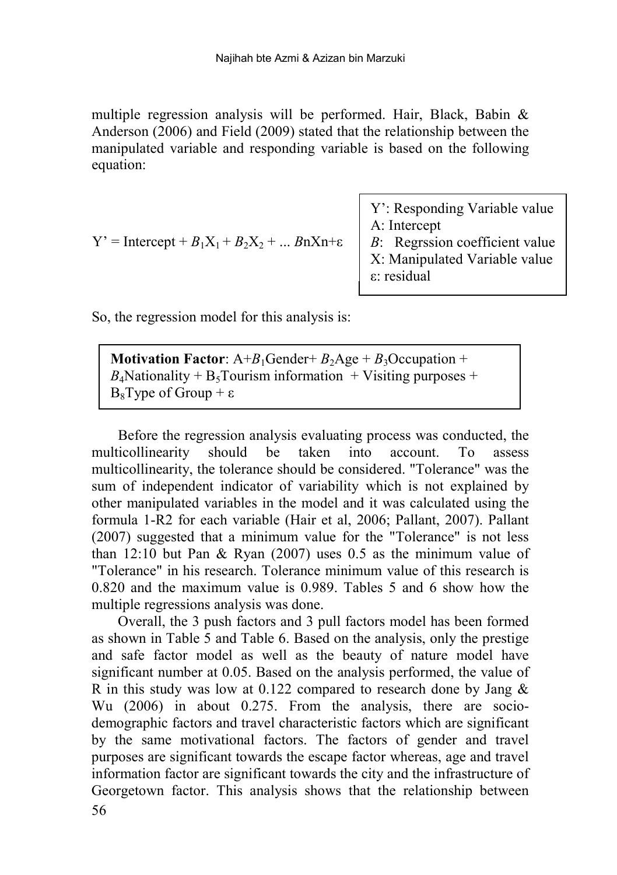multiple regression analysis will be performed. Hair, Black, Babin & Anderson (2006) and Field (2009) stated that the relationship between the manipulated variable and responding variable is based on the following equation:

| Y': Responding Variable value  |
|--------------------------------|
| A: Intercept                   |
| B: Regrssion coefficient value |
| X: Manipulated Variable value  |
| ε: residual                    |

So, the regression model for this analysis is:

 $Y' =$  Intercept +  $B_1X_1 + B_2X_2 + ... B_nX_n + \varepsilon$ 

**Motivation Factor:**  $A+B_1$ Gender+  $B_2$ Age +  $B_3$ Occupation +  $B_4$ Nationality + B<sub>5</sub>Tourism information + Visiting purposes + B<sub>8</sub>Type of Group + ε

Before the regression analysis evaluating process was conducted, the multicollinearity should be taken into account. To assess multicollinearity, the tolerance should be considered. "Tolerance" was the sum of independent indicator of variability which is not explained by other manipulated variables in the model and it was calculated using the formula 1-R2 for each variable (Hair et al, 2006; Pallant, 2007). Pallant (2007) suggested that a minimum value for the "Tolerance" is not less than 12:10 but Pan & Ryan (2007) uses 0.5 as the minimum value of "Tolerance" in his research. Tolerance minimum value of this research is 0.820 and the maximum value is 0.989. Tables 5 and 6 show how the multiple regressions analysis was done.

Overall, the 3 push factors and 3 pull factors model has been formed as shown in Table 5 and Table 6. Based on the analysis, only the prestige and safe factor model as well as the beauty of nature model have significant number at 0.05. Based on the analysis performed, the value of R in this study was low at 0.122 compared to research done by Jang  $\&$ Wu (2006) in about 0.275. From the analysis, there are sociodemographic factors and travel characteristic factors which are significant by the same motivational factors. The factors of gender and travel purposes are significant towards the escape factor whereas, age and travel information factor are significant towards the city and the infrastructure of Georgetown factor. This analysis shows that the relationship between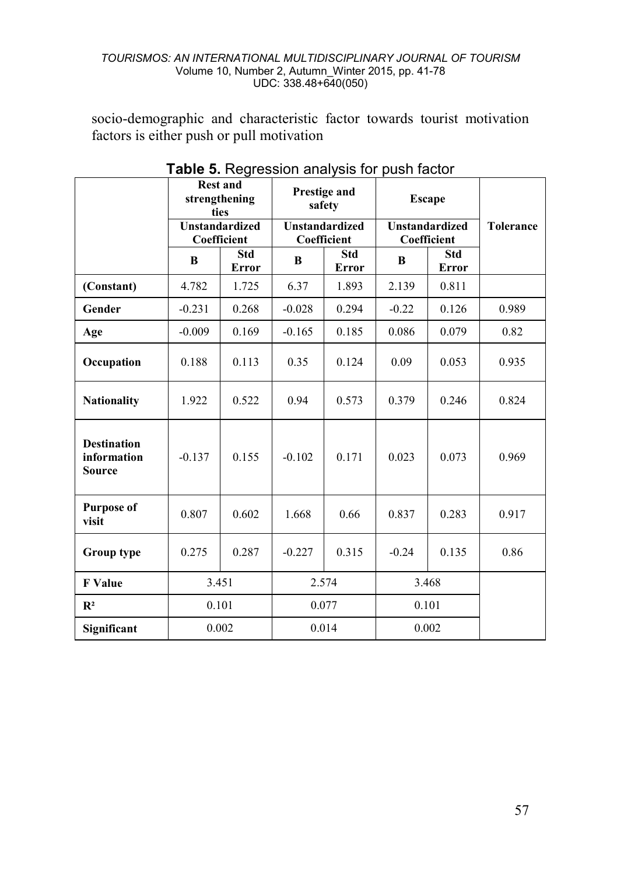socio-demographic and characteristic factor towards tourist motivation factors is either push or pull motivation

|                                                    | <b>Rest and</b><br>strengthening<br>ties |                                      |          | Prestige and<br>safety               | <b>Escape</b> |                                      |       |  |
|----------------------------------------------------|------------------------------------------|--------------------------------------|----------|--------------------------------------|---------------|--------------------------------------|-------|--|
|                                                    |                                          | <b>Unstandardized</b><br>Coefficient |          | <b>Unstandardized</b><br>Coefficient |               | <b>Unstandardized</b><br>Coefficient |       |  |
|                                                    | R                                        | Std<br>Error                         | R        | Std<br>Error                         | B             | <b>Std</b><br>Error                  |       |  |
| (Constant)                                         | 4.782                                    | 1.725                                | 6.37     | 1.893                                | 2.139         | 0.811                                |       |  |
| Gender                                             | $-0.231$                                 | 0.268                                | $-0.028$ | 0.294                                | $-0.22$       | 0.126                                | 0.989 |  |
| Age                                                | $-0.009$                                 | 0.169                                | $-0.165$ | 0.185                                | 0.086         | 0.079                                | 0.82  |  |
| Occupation                                         | 0.188                                    | 0.113                                | 0.35     | 0.124                                | 0.09          | 0.053                                | 0.935 |  |
| <b>Nationality</b>                                 | 1.922                                    | 0.522                                | 0.94     | 0.573                                | 0.379         | 0.246                                | 0.824 |  |
| <b>Destination</b><br>information<br><b>Source</b> | $-0.137$                                 | 0.155                                | $-0.102$ | 0.171                                | 0.023         | 0.073                                | 0.969 |  |
| <b>Purpose of</b><br>visit                         | 0.807                                    | 0.602                                | 1.668    | 0.66                                 | 0.837         | 0.283                                | 0.917 |  |
| Group type                                         | 0.275                                    | 0.287                                | $-0.227$ | 0.315                                | $-0.24$       | 0.135                                | 0.86  |  |
| <b>F</b> Value                                     | 3.451                                    |                                      |          | 2.574                                | 3.468         |                                      |       |  |
| $\mathbb{R}^2$                                     | 0.101                                    |                                      |          | 0.077                                | 0.101         |                                      |       |  |
| Significant                                        |                                          | 0.002                                |          | 0.014                                | 0.002         |                                      |       |  |

**Table 5.** Regression analysis for push factor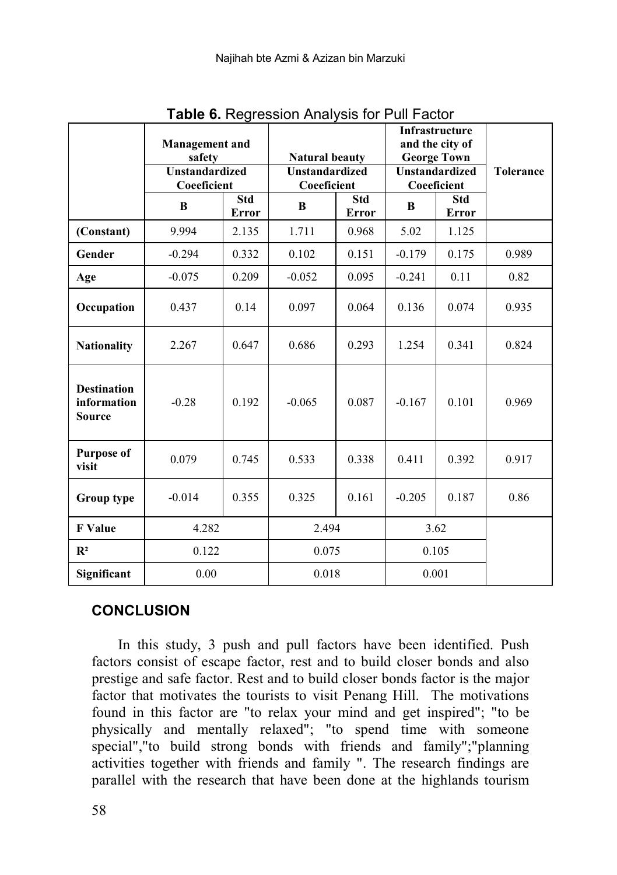|                                             | <b>Management</b> and<br>safety      |                     |                                      | <b>Natural beauty</b> |                                      | <b>Infrastructure</b><br>and the city of<br><b>George Town</b> |                  |  |
|---------------------------------------------|--------------------------------------|---------------------|--------------------------------------|-----------------------|--------------------------------------|----------------------------------------------------------------|------------------|--|
|                                             | <b>Unstandardized</b><br>Coeeficient |                     | <b>Unstandardized</b><br>Coeeficient |                       | <b>Unstandardized</b><br>Coeeficient |                                                                | <b>Tolerance</b> |  |
|                                             | B                                    | <b>Std</b><br>Error | B                                    | Std<br>Error          | B                                    | Std<br>Error                                                   |                  |  |
| (Constant)                                  | 9.994                                | 2.135               | 1.711                                | 0.968                 | 5.02                                 | 1.125                                                          |                  |  |
| Gender                                      | $-0.294$                             | 0.332               | 0.102                                | 0.151                 | $-0.179$                             | 0.175                                                          | 0.989            |  |
| Age                                         | $-0.075$                             | 0.209               | $-0.052$                             | 0.095                 | $-0.241$                             | 0.11                                                           | 0.82             |  |
| Occupation                                  | 0.437                                | 0.14                | 0.097                                | 0.064                 | 0.136                                | 0.074                                                          | 0.935            |  |
| <b>Nationality</b>                          | 2.267                                | 0.647               | 0.686                                | 0.293                 | 1.254                                | 0.341                                                          | 0.824            |  |
| <b>Destination</b><br>information<br>Source | $-0.28$                              | 0.192               | $-0.065$                             | 0.087                 | $-0.167$                             | 0.101                                                          | 0.969            |  |
| <b>Purpose of</b><br>visit                  | 0.079                                | 0.745               | 0.533                                | 0.338                 | 0.411                                | 0.392                                                          | 0.917            |  |
| Group type                                  | $-0.014$                             | 0.355               | 0.325                                | 0.161                 | $-0.205$                             | 0.187                                                          | 0.86             |  |
| <b>F</b> Value                              | 4.282                                |                     |                                      | 2.494                 |                                      | 3.62                                                           |                  |  |
| $\mathbf{R}^2$                              | 0.122                                |                     | 0.075                                |                       | 0.105                                |                                                                |                  |  |
| Significant                                 | 0.00                                 |                     | 0.018                                |                       |                                      | 0.001                                                          |                  |  |

**Table 6.** Regression Analysis for Pull Factor

# **CONCLUSION**

In this study, 3 push and pull factors have been identified. Push factors consist of escape factor, rest and to build closer bonds and also prestige and safe factor. Rest and to build closer bonds factor is the major factor that motivates the tourists to visit Penang Hill. The motivations found in this factor are "to relax your mind and get inspired"; "to be physically and mentally relaxed"; "to spend time with someone special","to build strong bonds with friends and family";"planning activities together with friends and family ". The research findings are parallel with the research that have been done at the highlands tourism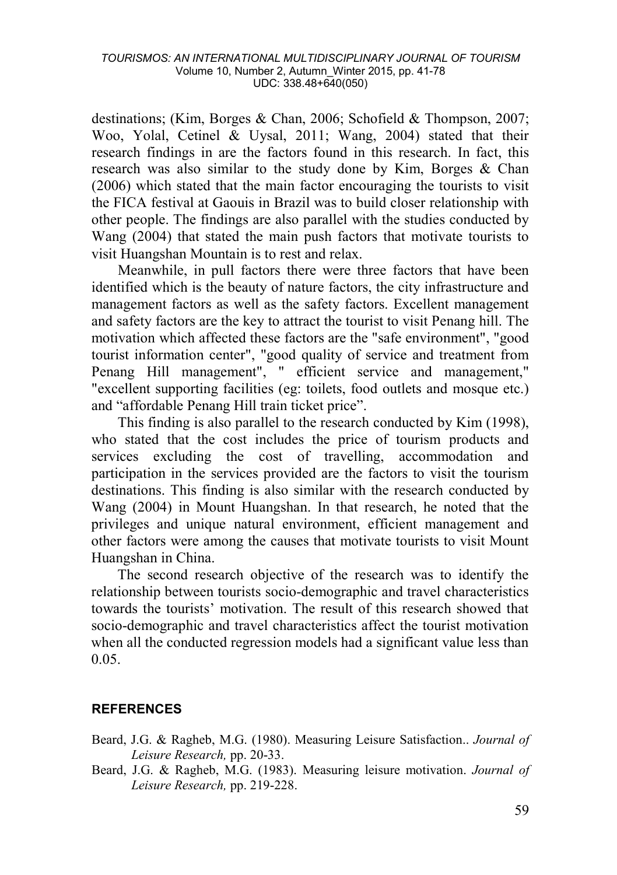destinations; (Kim, Borges & Chan, 2006; Schofield & Thompson, 2007; Woo, Yolal, Cetinel & Uysal, 2011; Wang, 2004) stated that their research findings in are the factors found in this research. In fact, this research was also similar to the study done by Kim, Borges & Chan (2006) which stated that the main factor encouraging the tourists to visit the FICA festival at Gaouis in Brazil was to build closer relationship with other people. The findings are also parallel with the studies conducted by Wang (2004) that stated the main push factors that motivate tourists to visit Huangshan Mountain is to rest and relax.

Meanwhile, in pull factors there were three factors that have been identified which is the beauty of nature factors, the city infrastructure and management factors as well as the safety factors. Excellent management and safety factors are the key to attract the tourist to visit Penang hill. The motivation which affected these factors are the "safe environment", "good tourist information center", "good quality of service and treatment from Penang Hill management", " efficient service and management," "excellent supporting facilities (eg: toilets, food outlets and mosque etc.) and "affordable Penang Hill train ticket price".

This finding is also parallel to the research conducted by Kim (1998), who stated that the cost includes the price of tourism products and services excluding the cost of travelling, accommodation and participation in the services provided are the factors to visit the tourism destinations. This finding is also similar with the research conducted by Wang (2004) in Mount Huangshan. In that research, he noted that the privileges and unique natural environment, efficient management and other factors were among the causes that motivate tourists to visit Mount Huangshan in China.

The second research objective of the research was to identify the relationship between tourists socio-demographic and travel characteristics towards the tourists' motivation. The result of this research showed that socio-demographic and travel characteristics affect the tourist motivation when all the conducted regression models had a significant value less than 0.05.

## **REFERENCES**

- Beard, J.G. & Ragheb, M.G. (1980). Measuring Leisure Satisfaction.. *Journal of Leisure Research,* pp. 20-33.
- Beard, J.G. & Ragheb, M.G. (1983). Measuring leisure motivation. *Journal of Leisure Research,* pp. 219-228.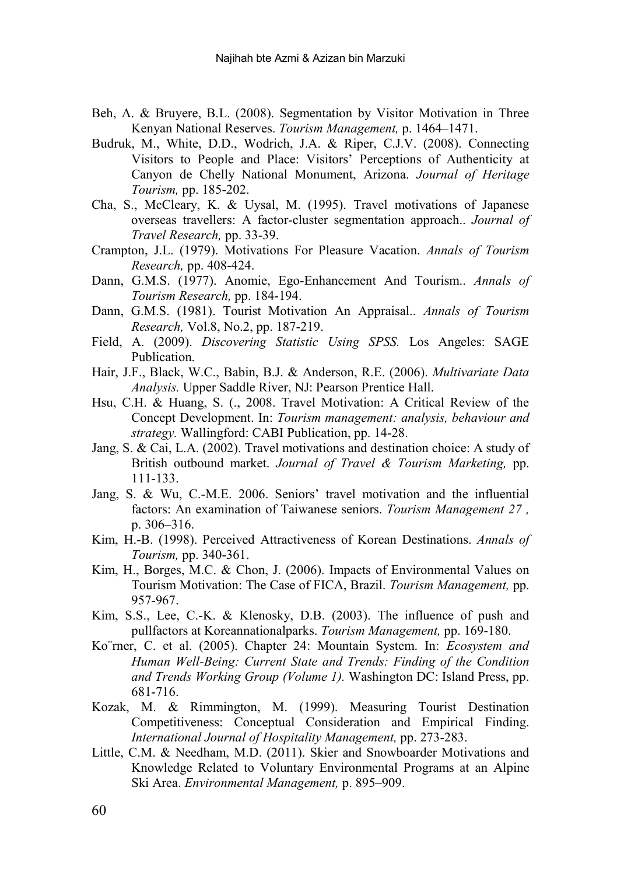- Beh, A. & Bruyere, B.L. (2008). Segmentation by Visitor Motivation in Three Kenyan National Reserves. *Tourism Management,* p. 1464–1471.
- Budruk, M., White, D.D., Wodrich, J.A. & Riper, C.J.V. (2008). Connecting Visitors to People and Place: Visitors' Perceptions of Authenticity at Canyon de Chelly National Monument, Arizona. *Journal of Heritage Tourism,* pp. 185-202.
- Cha, S., McCleary, K. & Uysal, M. (1995). Travel motivations of Japanese overseas travellers: A factor-cluster segmentation approach.. *Journal of Travel Research,* pp. 33-39.
- Crampton, J.L. (1979). Motivations For Pleasure Vacation. *Annals of Tourism Research,* pp. 408-424.
- Dann, G.M.S. (1977). Anomie, Ego-Enhancement And Tourism.. *Annals of Tourism Research,* pp. 184-194.
- Dann, G.M.S. (1981). Tourist Motivation An Appraisal.. *Annals of Tourism Research,* Vol.8, No.2, pp. 187-219.
- Field, A. (2009). *Discovering Statistic Using SPSS.* Los Angeles: SAGE Publication.
- Hair, J.F., Black, W.C., Babin, B.J. & Anderson, R.E. (2006). *Multivariate Data Analysis.* Upper Saddle River, NJ: Pearson Prentice Hall.
- Hsu, C.H. & Huang, S. (., 2008. Travel Motivation: A Critical Review of the Concept Development. In: *Tourism management: analysis, behaviour and strategy.* Wallingford: CABI Publication, pp. 14-28.
- Jang, S. & Cai, L.A. (2002). Travel motivations and destination choice: A study of British outbound market. *Journal of Travel & Tourism Marketing,* pp. 111-133.
- Jang, S. & Wu, C.-M.E. 2006. Seniors' travel motivation and the influential factors: An examination of Taiwanese seniors. *Tourism Management 27 ,*  p. 306–316.
- Kim, H.-B. (1998). Perceived Attractiveness of Korean Destinations. *Annals of Tourism,* pp. 340-361.
- Kim, H., Borges, M.C. & Chon, J. (2006). Impacts of Environmental Values on Tourism Motivation: The Case of FICA, Brazil. *Tourism Management,* pp. 957-967.
- Kim, S.S., Lee, C.-K. & Klenosky, D.B. (2003). The influence of push and pullfactors at Koreannationalparks. *Tourism Management,* pp. 169-180.
- Ko¨rner, C. et al. (2005). Chapter 24: Mountain System. In: *Ecosystem and Human Well-Being: Current State and Trends: Finding of the Condition and Trends Working Group (Volume 1).* Washington DC: Island Press, pp. 681-716.
- Kozak, M. & Rimmington, M. (1999). Measuring Tourist Destination Competitiveness: Conceptual Consideration and Empirical Finding. *International Journal of Hospitality Management,* pp. 273-283.
- Little, C.M. & Needham, M.D. (2011). Skier and Snowboarder Motivations and Knowledge Related to Voluntary Environmental Programs at an Alpine Ski Area. *Environmental Management,* p. 895–909.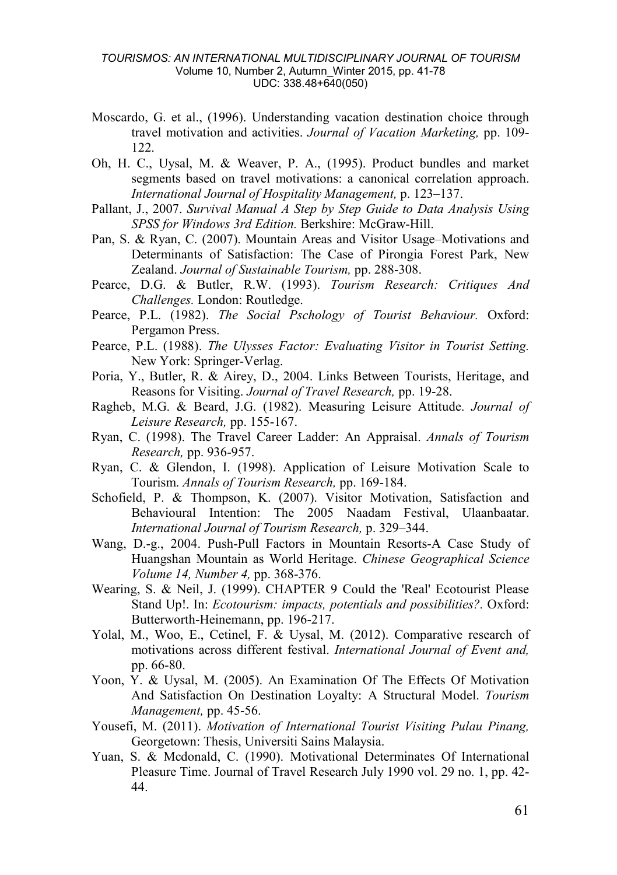- Moscardo, G. et al., (1996). Understanding vacation destination choice through travel motivation and activities. *Journal of Vacation Marketing,* pp. 109- 122.
- Oh, H. C., Uysal, M. & Weaver, P. A., (1995). Product bundles and market segments based on travel motivations: a canonical correlation approach. *International Journal of Hospitality Management,* p. 123–137.
- Pallant, J., 2007. *Survival Manual A Step by Step Guide to Data Analysis Using SPSS for Windows 3rd Edition.* Berkshire: McGraw-Hill.
- Pan, S. & Ryan, C. (2007). Mountain Areas and Visitor Usage–Motivations and Determinants of Satisfaction: The Case of Pirongia Forest Park, New Zealand. *Journal of Sustainable Tourism,* pp. 288-308.
- Pearce, D.G. & Butler, R.W. (1993). *Tourism Research: Critiques And Challenges.* London: Routledge.
- Pearce, P.L. (1982). *The Social Pschology of Tourist Behaviour.* Oxford: Pergamon Press.
- Pearce, P.L. (1988). *The Ulysses Factor: Evaluating Visitor in Tourist Setting.*  New York: Springer-Verlag.
- Poria, Y., Butler, R. & Airey, D., 2004. Links Between Tourists, Heritage, and Reasons for Visiting. *Journal of Travel Research,* pp. 19-28.
- Ragheb, M.G. & Beard, J.G. (1982). Measuring Leisure Attitude. *Journal of Leisure Research,* pp. 155-167.
- Ryan, C. (1998). The Travel Career Ladder: An Appraisal. *Annals of Tourism Research,* pp. 936-957.
- Ryan, C. & Glendon, I. (1998). Application of Leisure Motivation Scale to Tourism. *Annals of Tourism Research,* pp. 169-184.
- Schofield, P. & Thompson, K. (2007). Visitor Motivation, Satisfaction and Behavioural Intention: The 2005 Naadam Festival, Ulaanbaatar. *International Journal of Tourism Research,* p. 329–344.
- Wang, D.-g., 2004. Push-Pull Factors in Mountain Resorts-A Case Study of Huangshan Mountain as World Heritage. *Chinese Geographical Science Volume 14, Number 4,* pp. 368-376.
- Wearing, S. & Neil, J. (1999). CHAPTER 9 Could the 'Real' Ecotourist Please Stand Up!. In: *Ecotourism: impacts, potentials and possibilities?.* Oxford: Butterworth-Heinemann, pp. 196-217.
- Yolal, M., Woo, E., Cetinel, F. & Uysal, M. (2012). Comparative research of motivations across different festival. *International Journal of Event and,*  pp. 66-80.
- Yoon, Y. & Uysal, M. (2005). An Examination Of The Effects Of Motivation And Satisfaction On Destination Loyalty: A Structural Model. *Tourism Management,* pp. 45-56.
- Yousefi, M. (2011). *Motivation of International Tourist Visiting Pulau Pinang,*  Georgetown: Thesis, Universiti Sains Malaysia.
- Yuan, S. & Mcdonald, C. (1990). Motivational Determinates Of International Pleasure Time. Journal of Travel Research July 1990 vol. 29 no. 1, pp. 42- 44.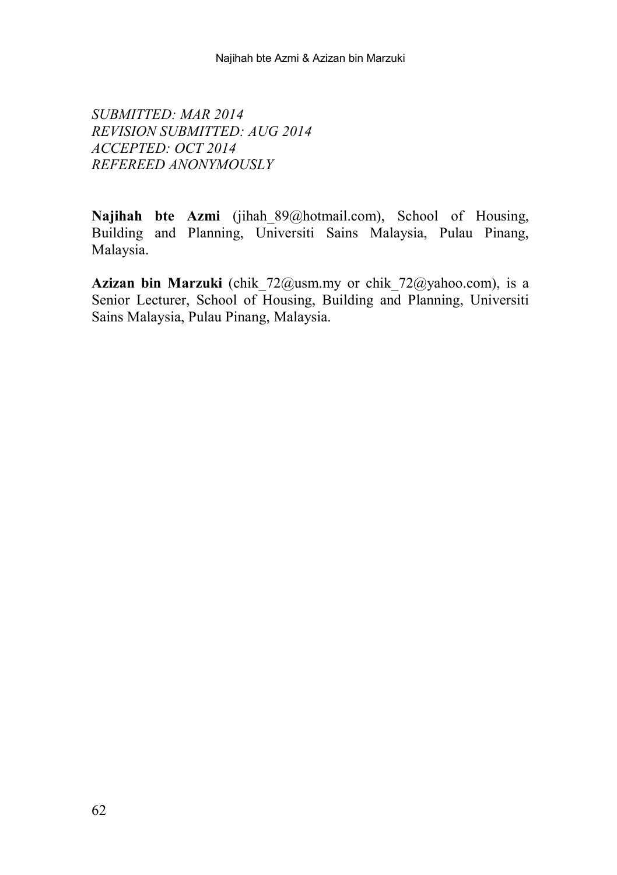*SUBMITTED: MAR 2014 REVISION SUBMITTED: AUG 2014 ACCEPTED: OCT 2014 REFEREED ANONYMOUSLY*

**Najihah bte Azmi** (jihah\_89@hotmail.com), School of Housing, Building and Planning, Universiti Sains Malaysia, Pulau Pinang, Malaysia.

**Azizan bin Marzuki** (chik\_72@usm.my or chik\_72@yahoo.com), is a Senior Lecturer, School of Housing, Building and Planning, Universiti Sains Malaysia, Pulau Pinang, Malaysia.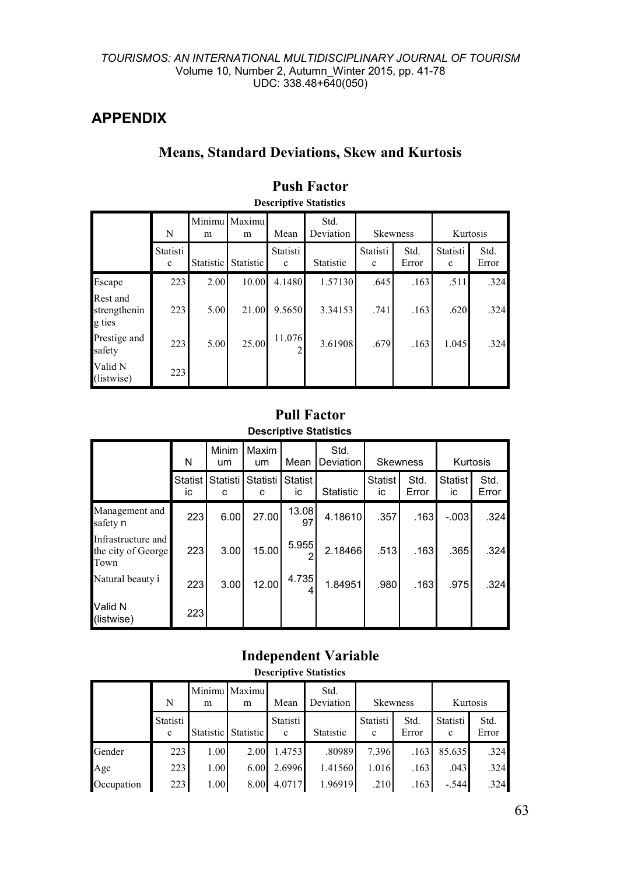## **APPENDIX**

# **Means, Standard Deviations, Skew and Kurtosis**

|                                    | N                       | Minimu<br>m | Maximu<br>m | Mean                     | Std.<br>Deviation | <b>Skewness</b>         |               | Kurtosis                |               |  |  |
|------------------------------------|-------------------------|-------------|-------------|--------------------------|-------------------|-------------------------|---------------|-------------------------|---------------|--|--|
|                                    | Statisti<br>$\mathbf c$ | Statistic   | Statistic   | Statisti<br>$\mathbf{c}$ | Statistic         | Statisti<br>$\mathbf c$ | Std.<br>Error | Statisti<br>$\mathbf c$ | Std.<br>Error |  |  |
| Escape                             | 223                     | 2.00        | 10.00       | 4.1480                   | 1.57130           | .645                    | .163          | .511                    | .324          |  |  |
| Rest and<br>strengthenin<br>g ties | 223                     | 5.00        | 21.00       | 9.5650                   | 3.34153           | .741                    | .163          | .620                    | .324          |  |  |
| Prestige and<br>safety             | 223                     | 5.00        | 25.00       | 11.076                   | 3.61908           | .679                    | .163          | 1.045                   | .324          |  |  |
| Valid N<br>(listwise)              | 223                     |             |             |                          |                   |                         |               |                         |               |  |  |

# **Push Factor**

## **Descriptive Statistics**

## **Pull Factor Descriptive Statistics**

|                                                  | N                    | Minim<br>um   | Maxim<br>um          | Mean          | Std.<br><b>Deviation</b> | <b>Skewness</b>      |               |                      |               | Kurtosis |
|--------------------------------------------------|----------------------|---------------|----------------------|---------------|--------------------------|----------------------|---------------|----------------------|---------------|----------|
|                                                  | <b>Statist</b><br>ic | Statisti<br>c | <b>Statisti</b><br>c | Statist<br>ic | <b>Statistic</b>         | <b>Statist</b><br>ic | Std.<br>Error | <b>Statist</b><br>ic | Std.<br>Error |          |
| Management and<br>safety n                       | 223                  | 6.00          | 27.00                | 13.08<br>97   | 4.18610                  | .357                 | .163          | $-.003$              | .324          |          |
| Infrastructure and<br>the city of George<br>Town | 223                  | 3.00          | 15.00                | 5.955         | 2.18466                  | .513                 | .163          | .365                 | .324          |          |
| Natural beauty i                                 | 223                  | 3.00          | 12.00                | 4.735         | 1.84951                  | .980                 | .163          | .975                 | .324          |          |
| Valid N<br>(listwise)                            | 223                  |               |                      |               |                          |                      |               |                      |               |          |

## **Independent Variable**

### **Descriptive Statistics**

|            | N             | m    | Minimu Maximu<br>m  | Mean          | Std.<br>Deviation | <b>Skewness</b> |               |               | Kurtosis      |
|------------|---------------|------|---------------------|---------------|-------------------|-----------------|---------------|---------------|---------------|
|            | Statisti<br>c |      | Statistic Statistic | Statisti<br>c | Statistic         | Statisti<br>c   | Std.<br>Error | Statisti<br>c | Std.<br>Error |
| Gender     | 223           | 1.00 | 2.00                | 1.4753        | .80989            | 7.396           | .163          | 85.635        | .324          |
| Age        | 223           | 1.00 | 6.00                | 2.6996        | 1.41560           | 1.016           | .163          | .043          | .324          |
| Occupation | 223           | 1.00 | 8.00                | 4.0717        | 1.96919           | .210            | .163          | $-.544$       | .324          |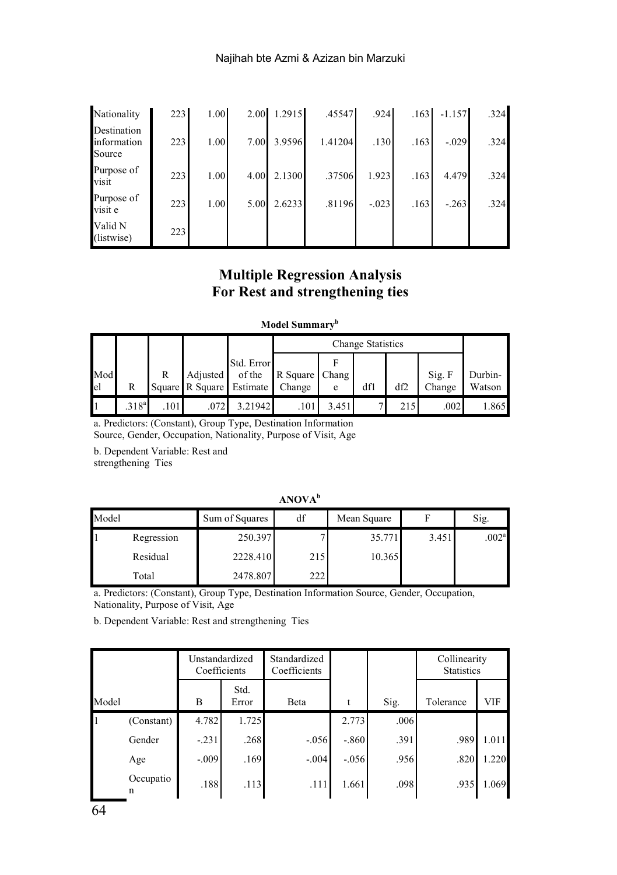| Nationality                          | 223 | 1.00 |      | 2.00 1.2915 | .45547  | .924    | .163 | $-1.157$ | .324 |
|--------------------------------------|-----|------|------|-------------|---------|---------|------|----------|------|
| Destination<br>information<br>Source | 223 | 1.00 | 7.00 | 3.9596      | 1.41204 | .130    | .163 | $-.029$  | .324 |
| Purpose of<br>visit                  | 223 | 1.00 | 4.00 | 2.1300      | .37506  | 1.923   | .163 | 4.479    | .324 |
| Purpose of<br>visit e                | 223 | 1.00 | 5.00 | 2.6233      | .81196  | $-.023$ | .163 | $-.263$  | .324 |
| Valid N<br>(listwise)                | 223 |      |      |             |         |         |      |          |      |

## **Multiple Regression Analysis For Rest and strengthening ties**

### **Model Summaryb**

|           |                   |                                             |          |                                                  |                          | Change Statistics |     |     |                  |                   |  |  |
|-----------|-------------------|---------------------------------------------|----------|--------------------------------------------------|--------------------------|-------------------|-----|-----|------------------|-------------------|--|--|
| Mod<br>el | R                 | R                                           | Adjusted | Std. Error<br>of the<br>Square R Square Estimate | R Square Chang<br>Change | e                 | dfl | df2 | Sig. F<br>Change | Durbin-<br>Watson |  |  |
|           | .318 <sup>a</sup> | $.101$ <sup><math>\blacksquare</math></sup> | .072     | 3.21942                                          | .101                     | 3.451             |     | 215 | .002             | 1.865             |  |  |

a. Predictors: (Constant), Group Type, Destination Information

Source, Gender, Occupation, Nationality, Purpose of Visit, Age

b. Dependent Variable: Rest and strengthening Ties

### **ANOVA<sup>b</sup>**

| Model |            | Sum of Squares | df  | Mean Square |       | Sig.              |
|-------|------------|----------------|-----|-------------|-------|-------------------|
|       | Regression | 250.397        |     | 35.771      | 3.451 | .002 <sup>a</sup> |
|       | Residual   | 2228.410       | 215 | 10.365      |       |                   |
|       | Total      | 2478.807       | 222 |             |       |                   |

a. Predictors: (Constant), Group Type, Destination Information Source, Gender, Occupation, Nationality, Purpose of Visit, Age

b. Dependent Variable: Rest and strengthening Ties

|       |                |         | Unstandardized<br>Coefficients | Standardized<br>Coefficients |         |      | Collinearity<br><b>Statistics</b> |            |
|-------|----------------|---------|--------------------------------|------------------------------|---------|------|-----------------------------------|------------|
| Model |                | в       | Std.<br>Error                  | Beta                         |         | Sig. | Tolerance                         | <b>VIF</b> |
| 11    | (Constant)     | 4.782   | 1.725                          |                              | 2.773   | .006 |                                   |            |
|       | Gender         | $-.231$ | .268                           | $-.056$                      | $-.860$ | .391 | .989                              | 1.011      |
|       | Age            | $-.009$ | .169                           | $-.004$                      | $-.056$ | .956 | .820                              | 1.220      |
|       | Occupatio<br>n | .188    | .113                           | .111                         | 1.661   | .098 | .935                              | 1.069      |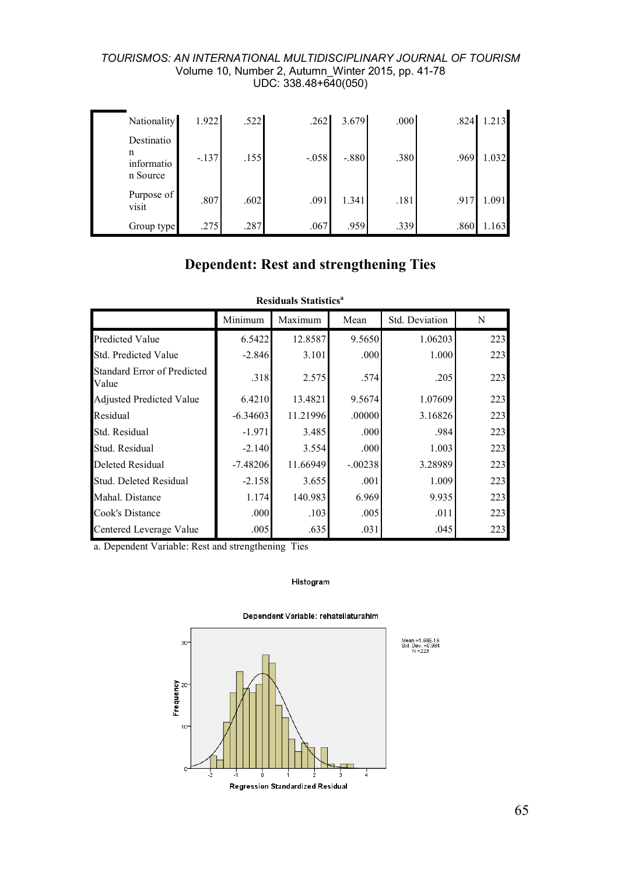| Nationality                               | 1.922   | .522 | .262    | 3.679   | .000 | .824 | 1.213 |
|-------------------------------------------|---------|------|---------|---------|------|------|-------|
| Destinatio<br>n<br>informatio<br>n Source | $-.137$ | .155 | $-.058$ | $-.880$ | .380 | .969 | 1.032 |
| Purpose of<br>visit                       | .807    | .602 | .091    | 1.341   | .181 | .917 | 1.091 |
| Group type                                | .275    | .287 | .067    | .959    | .339 | .860 | 1.163 |

# **Dependent: Rest and strengthening Ties**

|                                      |            | <b>Residuals Statistics<sup>a</sup></b> |           |                |     |
|--------------------------------------|------------|-----------------------------------------|-----------|----------------|-----|
|                                      | Minimum    | Maximum                                 | Mean      | Std. Deviation | N   |
| Predicted Value                      | 6.5422     | 12.8587                                 | 9.5650    | 1.06203        | 223 |
| Std. Predicted Value                 | $-2.846$   | 3.101                                   | .000      | 1.000          | 223 |
| Standard Error of Predicted<br>Value | .318       | 2.575                                   | .574      | .205           | 223 |
| Adjusted Predicted Value             | 6.4210     | 13.4821                                 | 9.5674    | 1.07609        | 223 |
| Residual                             | $-6.34603$ | 11.21996                                | .00000    | 3.16826        | 223 |
| Std. Residual                        | $-1.971$   | 3.485                                   | .000      | .984           | 223 |
| Stud. Residual                       | $-2.140$   | 3.554                                   | .000      | 1.003          | 223 |
| Deleted Residual                     | $-7.48206$ | 11.66949                                | $-.00238$ | 3.28989        | 223 |
| Stud. Deleted Residual               | $-2.158$   | 3.655                                   | .001      | 1.009          | 223 |
| Mahal. Distance                      | 1.174      | 140.983                                 | 6.969     | 9.935          | 223 |
| Cook's Distance                      | .000       | .103                                    | .005      | .011           | 223 |
| Centered Leverage Value              | .005       | .635                                    | .031      | .045           | 223 |

a. Dependent Variable: Rest and strengthening Ties

### Histogram



#### Dependent Variable: rehatsilaturahim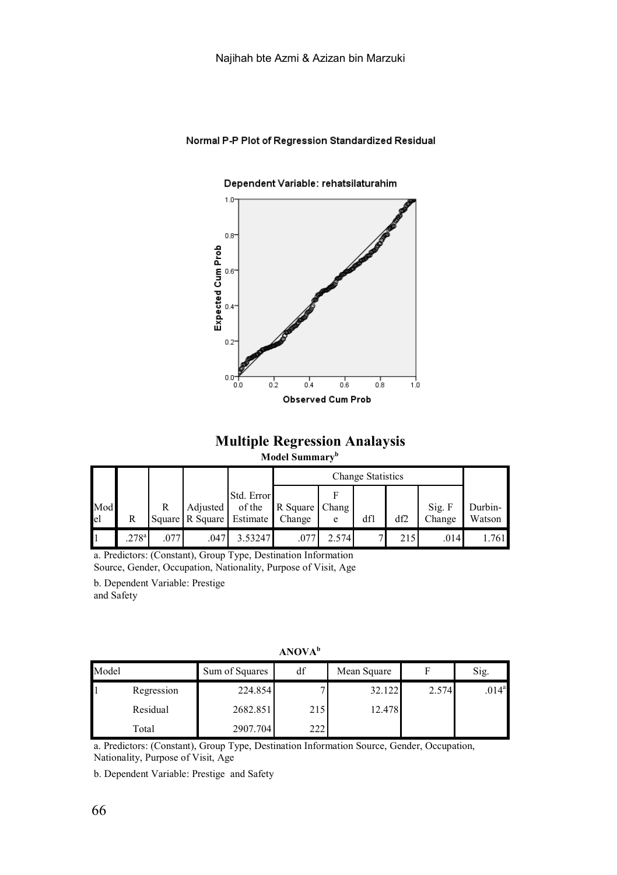### Normal P-P Plot of Regression Standardized Residual

#### Dependent Variable: rehatsilaturahim



## **Multiple Regression Analaysis**

### **Model Summaryb**

|           |            |     |                                             |                      |                |       | Change Statistics |     |                  |                   |
|-----------|------------|-----|---------------------------------------------|----------------------|----------------|-------|-------------------|-----|------------------|-------------------|
| Mod<br>el | R          | R   | Adiusted<br>Square R Square Estimate Change | Std. Error<br>of the | R Square Chang | e     | dfl               | df2 | Sig. F<br>Change | Durbin-<br>Watson |
|           | $.278^{a}$ | 077 | .047                                        | 3.53247              | $.07^{-}$      | 2.574 |                   | 215 | .014             | .761              |

a. Predictors: (Constant), Group Type, Destination Information

Source, Gender, Occupation, Nationality, Purpose of Visit, Age

b. Dependent Variable: Prestige and Safety

**ANOVA<sup>b</sup>**

| Model |            | Sum of Squares | df  | Mean Square |       | Sig.              |
|-------|------------|----------------|-----|-------------|-------|-------------------|
|       | Regression | 224.854        |     | 32.122      | 2.574 | .014 <sup>a</sup> |
|       | Residual   | 2682.851       | 215 | 12.478      |       |                   |
|       | Total      | 2907.704       | 222 |             |       |                   |

a. Predictors: (Constant), Group Type, Destination Information Source, Gender, Occupation, Nationality, Purpose of Visit, Age

b. Dependent Variable: Prestige and Safety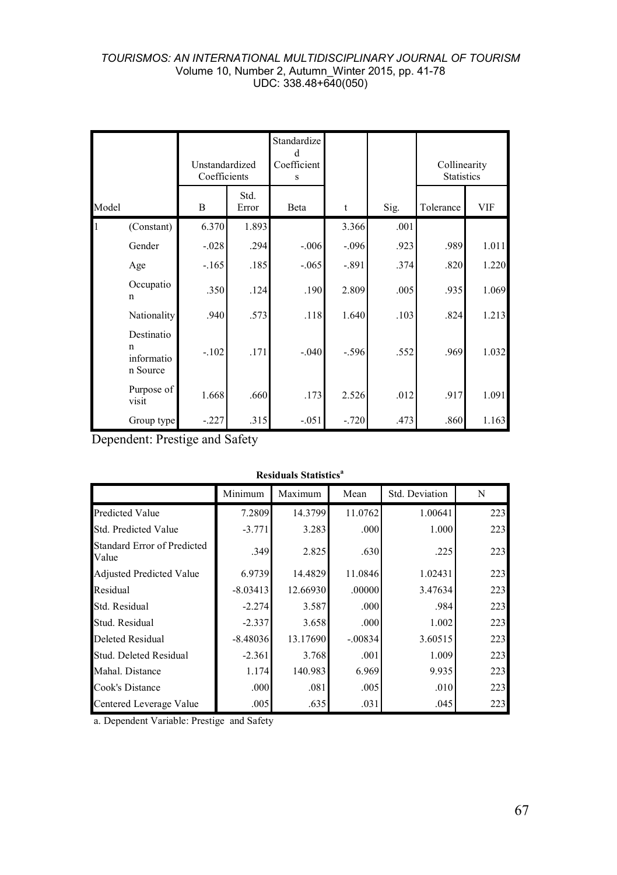|       |                                                     | Unstandardized<br>Coefficients |               | Standardize<br>Coefficient<br>s |         |      | Collinearity<br><b>Statistics</b> |            |
|-------|-----------------------------------------------------|--------------------------------|---------------|---------------------------------|---------|------|-----------------------------------|------------|
| Model |                                                     | B                              | Std.<br>Error | Beta                            | t       | Sig. | Tolerance                         | <b>VIF</b> |
|       | (Constant)                                          | 6.370                          | 1.893         |                                 | 3.366   | .001 |                                   |            |
|       | Gender                                              | $-028$                         | .294          | $-.006$                         | $-.096$ | .923 | .989                              | 1.011      |
|       | Age                                                 | $-165$                         | .185          | $-0.065$                        | $-.891$ | .374 | .820                              | 1.220      |
|       | Occupatio<br>$\mathbf n$                            | .350                           | .124          | .190                            | 2.809   | .005 | .935                              | 1.069      |
|       | Nationality                                         | .940                           | .573          | .118                            | 1.640   | .103 | .824                              | 1.213      |
|       | Destinatio<br>$\mathbf n$<br>informatio<br>n Source | $-.102$                        | .171          | $-.040$                         | $-.596$ | .552 | .969                              | 1.032      |
|       | Purpose of<br>visit                                 | 1.668                          | .660          | .173                            | 2.526   | .012 | .917                              | 1.091      |
|       | Group type                                          | $-227$                         | .315          | $-.051$                         | $-.720$ | .473 | .860                              | 1.163      |

Dependent: Prestige and Safety

| <b>Residuals Statistics<sup>a</sup></b> |  |
|-----------------------------------------|--|
|-----------------------------------------|--|

|                                             | Minimum    | Maximum  | Mean      | Std. Deviation | N   |
|---------------------------------------------|------------|----------|-----------|----------------|-----|
| <b>Predicted Value</b>                      | 7.2809     | 14.3799  | 11.0762   | 1.00641        | 223 |
| Std. Predicted Value                        | $-3.771$   | 3.283    | .000      | 1.000          | 223 |
| <b>Standard Error of Predicted</b><br>Value | .349       | 2.825    | .630      | .225           | 223 |
| <b>Adjusted Predicted Value</b>             | 6.9739     | 14.4829  | 11.0846   | 1.02431        | 223 |
| Residual                                    | $-8.03413$ | 12.66930 | .00000    | 3.47634        | 223 |
| Std. Residual                               | $-2.274$   | 3.587    | .000      | .984           | 223 |
| Stud. Residual                              | $-2.337$   | 3.658    | .000      | 1.002          | 223 |
| <b>Deleted Residual</b>                     | $-8.48036$ | 13.17690 | $-.00834$ | 3.60515        | 223 |
| Stud. Deleted Residual                      | $-2.361$   | 3.768    | .001      | 1.009          | 223 |
| Mahal. Distance                             | 1.174      | 140.983  | 6.969     | 9.935          | 223 |
| Cook's Distance                             | .000       | .081     | .005      | .010           | 223 |
| Centered Leverage Value                     | .005       | .635     | .031      | .045           | 223 |

a. Dependent Variable: Prestige and Safety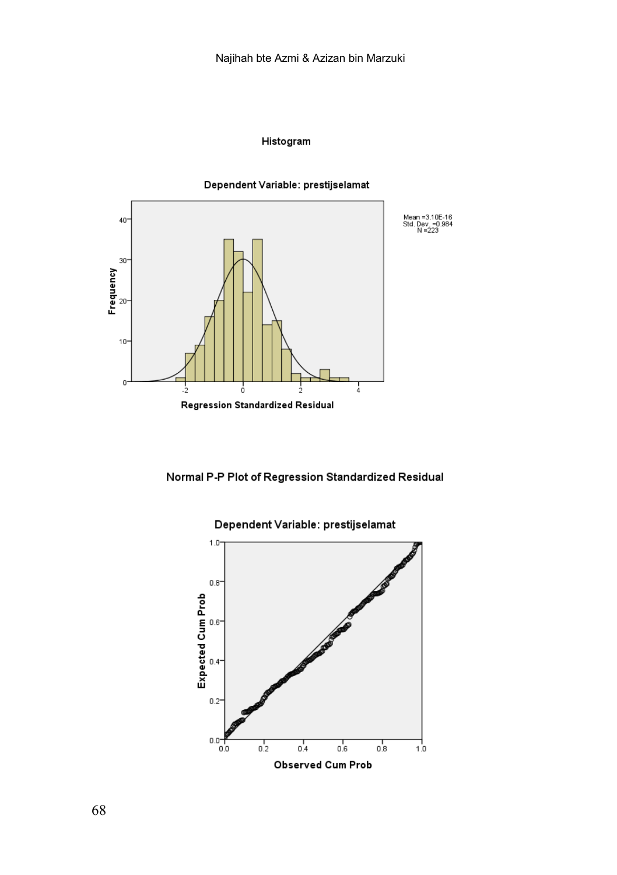### Histogram





Mean = 3.10E-16<br>Std. Dev. = 0.984<br>N = 223

## Normal P-P Plot of Regression Standardized Residual



## Dependent Variable: prestijselamat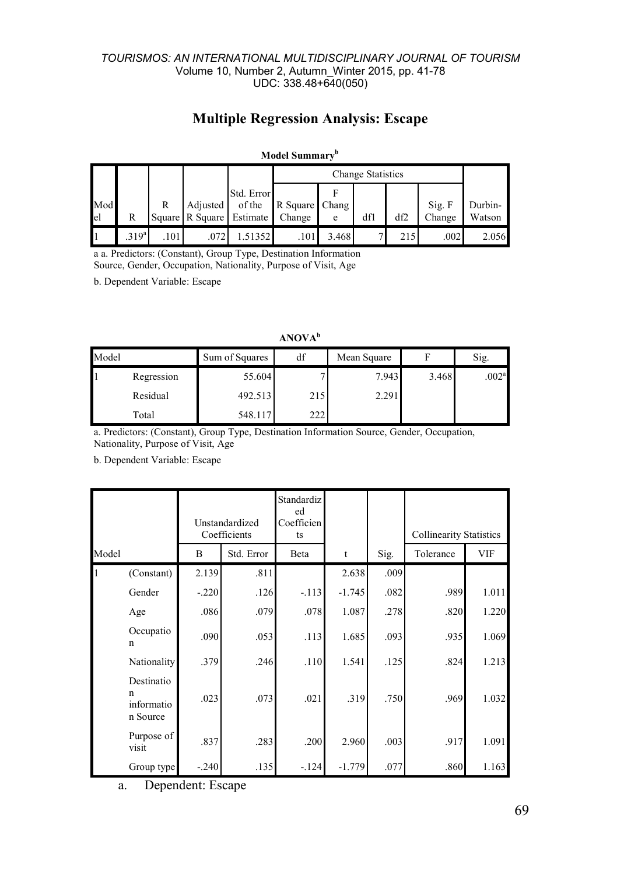# **Multiple Regression Analysis: Escape**

### **Model Summaryb**

|           |                  |      |                                      |                      |                          | Change Statistics |     |     |                  |                   |  |
|-----------|------------------|------|--------------------------------------|----------------------|--------------------------|-------------------|-----|-----|------------------|-------------------|--|
| Mod<br>el | R                | R    | Adjusted<br>Square R Square Estimate | Std. Error<br>of the | R Square Chang<br>Change | e                 | dfl | df2 | Sig. F<br>Change | Durbin-<br>Watson |  |
|           | 319 <sup>a</sup> | .101 | .072                                 | .51352               | .101                     | 3.468             |     | 215 | .002             | 2.056             |  |

a a. Predictors: (Constant), Group Type, Destination Information Source, Gender, Occupation, Nationality, Purpose of Visit, Age

b. Dependent Variable: Escape

|       |            |                      | 711 V.V. 7 7 1 |             |       |                   |
|-------|------------|----------------------|----------------|-------------|-------|-------------------|
| Model |            | df<br>Sum of Squares |                | Mean Square |       | Sig.              |
|       | Regression | 55.604               |                | 7.943       | 3.468 | .002 <sup>a</sup> |
|       | Residual   | 492.513              | 215            | 2.291       |       |                   |
|       | Total      | 548.117              | 222            |             |       |                   |

**ANOVA<sup>b</sup>**

a. Predictors: (Constant), Group Type, Destination Information Source, Gender, Occupation, Nationality, Purpose of Visit, Age

b. Dependent Variable: Escape

|       |                                           | Unstandardized<br>Coefficients |            | Standardiz<br>ed<br>Coefficien<br>ts |          |      | <b>Collinearity Statistics</b> |            |
|-------|-------------------------------------------|--------------------------------|------------|--------------------------------------|----------|------|--------------------------------|------------|
| Model |                                           | B                              | Std. Error | Beta                                 | t        | Sig. | Tolerance                      | <b>VIF</b> |
| 1     | (Constant)                                | 2.139                          | .811       |                                      | 2.638    | .009 |                                |            |
|       | Gender                                    | $-.220$                        | .126       | $-.113$                              | $-1.745$ | .082 | .989                           | 1.011      |
|       | Age                                       | .086                           | .079       | .078                                 | 1.087    | .278 | .820                           | 1.220      |
|       | Occupatio<br>n                            | .090                           | .053       | .113                                 | 1.685    | .093 | .935                           | 1.069      |
|       | Nationality                               | .379                           | .246       | .110                                 | 1.541    | .125 | .824                           | 1.213      |
|       | Destinatio<br>n<br>informatio<br>n Source | .023                           | .073       | .021                                 | .319     | .750 | .969                           | 1.032      |
|       | Purpose of<br>visit                       | .837                           | .283       | .200                                 | 2.960    | .003 | .917                           | 1.091      |
|       | Group type                                | $-.240$                        | .135       | $-124$                               | $-1.779$ | .077 | .860                           | 1.163      |

a. Dependent: Escape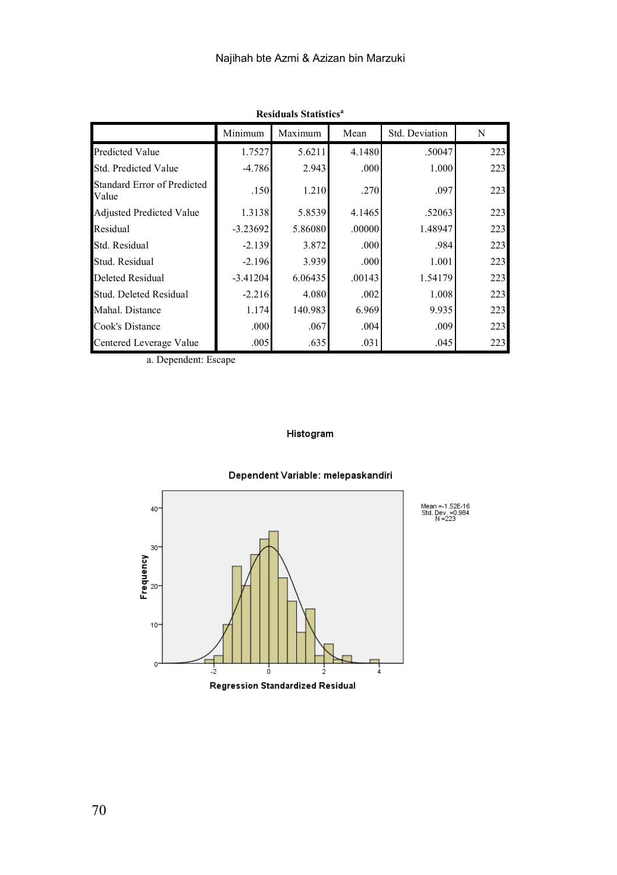|                                             | Minimum    | Maximum | Mean   | Std. Deviation | N   |
|---------------------------------------------|------------|---------|--------|----------------|-----|
| <b>Predicted Value</b>                      | 1.7527     | 5.6211  | 4.1480 | .50047         | 223 |
| Std. Predicted Value                        | $-4.786$   | 2.943   | .000   | 1.000          | 223 |
| <b>Standard Error of Predicted</b><br>Value | .150       | 1.210   | .270   | .097           | 223 |
| <b>Adjusted Predicted Value</b>             | 1.3138     | 5.8539  | 4.1465 | .52063         | 223 |
| Residual                                    | $-3.23692$ | 5.86080 | .00000 | 1.48947        | 223 |
| Std. Residual                               | $-2.139$   | 3.872   | .000   | .984           | 223 |
| Stud. Residual                              | $-2.196$   | 3.939   | .000   | 1.001          | 223 |
| Deleted Residual                            | $-3.41204$ | 6.06435 | .00143 | 1.54179        | 223 |
| Stud. Deleted Residual                      | $-2.216$   | 4.080   | .002   | 1.008          | 223 |
| Mahal. Distance                             | 1.174      | 140.983 | 6.969  | 9.935          | 223 |
| Cook's Distance                             | .000       | .067    | .004   | .009           | 223 |
| Centered Leverage Value                     | .005       | .635    | .031   | .045           | 223 |

**Residuals Statistics<sup>a</sup>**

a. Dependent: Escape

### Histogram



## Dependent Variable: melepaskandiri

Regression Standardized Residual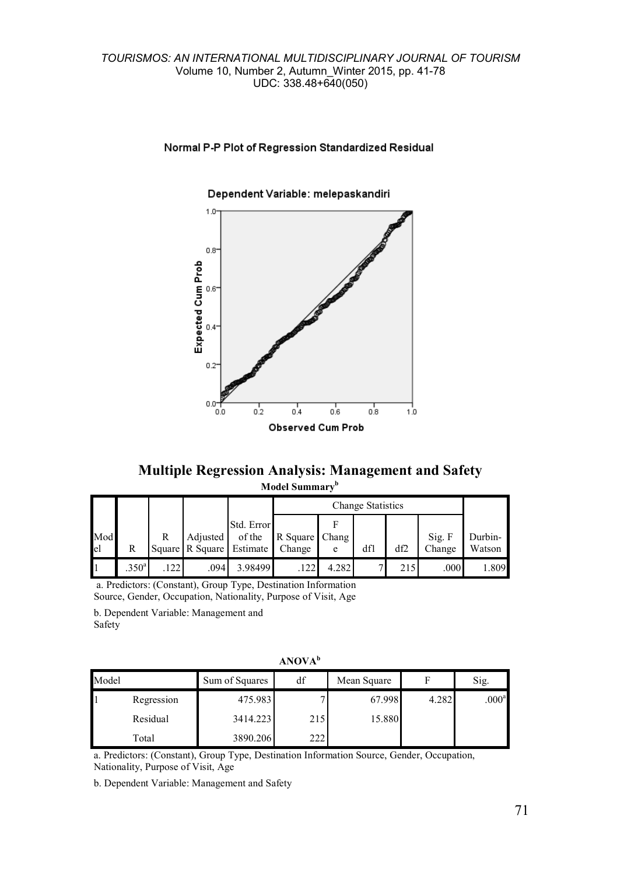## Normal P-P Plot of Regression Standardized Residual

## $1.0 0.8^{\circ}$ Expected Cum Prob  $0.6$  $0.4$  $0.2$  $0.0$  $0.2$ o.o  $0.4$  $0.6$  $0.8$  $1.0$ Observed Cum Prob

#### Dependent Variable: melepaskandiri

**Multiple Regression Analysis: Management and Safety Model Summaryb**

|     |                   |     |                          |                      |                | <b>Change Statistics</b> |     |     |        |         |  |
|-----|-------------------|-----|--------------------------|----------------------|----------------|--------------------------|-----|-----|--------|---------|--|
| Mod |                   | R   | <b>Adjusted</b>          | Std. Error<br>of the | R Square Chang |                          |     |     | Sig. F | Durbin- |  |
| el  | R                 |     | Square R Square Estimate |                      | Change         | e                        | dfl | df2 | Change | Watson  |  |
|     | .350 <sup>a</sup> | 122 | .094                     | 3.98499              | 122            | 4.282                    |     | 215 | .000   | .809    |  |

a. Predictors: (Constant), Group Type, Destination Information Source, Gender, Occupation, Nationality, Purpose of Visit, Age

b. Dependent Variable: Management and Safety

|       |            |                      | 1.1.1.7.7.1.1 |             |       |                   |
|-------|------------|----------------------|---------------|-------------|-------|-------------------|
| Model |            | df<br>Sum of Squares |               | Mean Square |       | Sig.              |
|       | Regression | 475.983              |               | 67.998      | 4.282 | .000 <sup>a</sup> |
|       | Residual   | 3414.223             | 215           | 15.880      |       |                   |
|       | Total      | 3890.206             | 222           |             |       |                   |

**ANOVA<sup>b</sup>**

a. Predictors: (Constant), Group Type, Destination Information Source, Gender, Occupation, Nationality, Purpose of Visit, Age

b. Dependent Variable: Management and Safety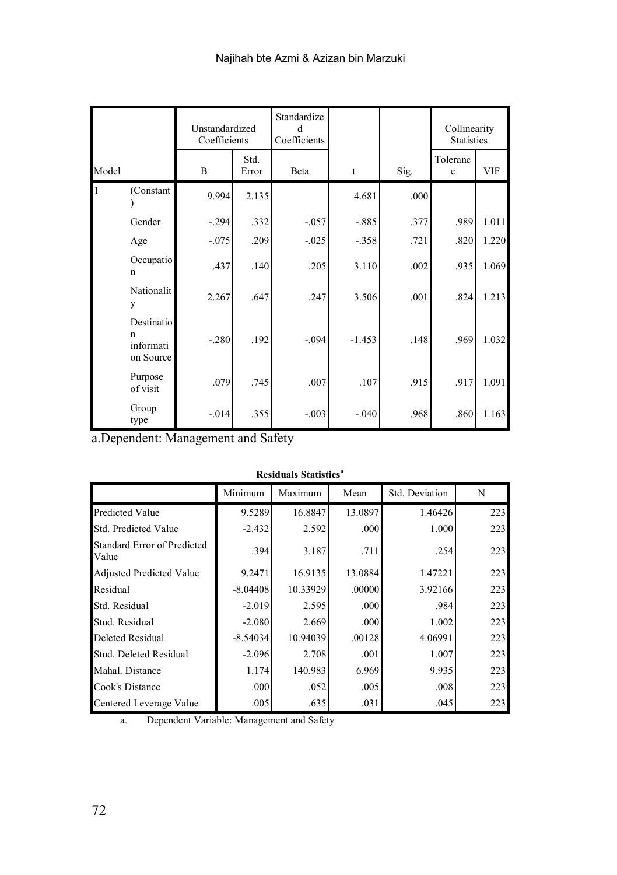| Model        |                                           | Unstandardized<br>Coefficients |               | Standardize<br>Coefficients |          |      | Collinearity<br><b>Statistics</b> |            |
|--------------|-------------------------------------------|--------------------------------|---------------|-----------------------------|----------|------|-----------------------------------|------------|
|              |                                           | B                              | Std.<br>Error | <b>Beta</b>                 | t        | Sig. | Toleranc<br>e                     | <b>VIF</b> |
| $\mathbf{1}$ | (Constant                                 | 9.994                          | 2.135         |                             | 4.681    | .000 |                                   |            |
|              | Gender                                    | $-.294$                        | .332          | $-0.057$                    | $-.885$  | .377 | .989                              | 1.011      |
|              | Age                                       | $-.075$                        | .209          | $-0.025$                    | $-.358$  | .721 | .820                              | 1.220      |
|              | Occupatio<br>$\mathbf n$                  | .437                           | .140          | .205                        | 3.110    | .002 | .935                              | 1.069      |
|              | Nationalit<br>y                           | 2.267                          | .647          | .247                        | 3.506    | .001 | .824                              | 1.213      |
|              | Destinatio<br>n<br>informati<br>on Source | $-.280$                        | .192          | $-.094$                     | $-1.453$ | .148 | .969                              | 1.032      |
|              | Purpose<br>of visit                       | .079                           | .745          | .007                        | .107     | .915 | .917                              | 1.091      |
|              | Group<br>type                             | $-0.014$                       | .355          | $-.003$                     | $-.040$  | .968 | .860                              | 1.163      |

a.Dependent: Management and Safety

| <b>Residuals Statistics<sup>a</sup></b> |
|-----------------------------------------|
|                                         |

|                                      | Minimum    | Maximum  | Mean    | Std. Deviation | N   |
|--------------------------------------|------------|----------|---------|----------------|-----|
| Predicted Value                      | 9.5289     | 16.8847  | 13.0897 | 1.46426        | 223 |
| Std. Predicted Value                 | $-2.432$   | 2.592    | .000.   | 1.000          | 223 |
| Standard Error of Predicted<br>Value | .394       | 3.187    | .711    | .254           | 223 |
| Adjusted Predicted Value             | 9.2471     | 16.9135  | 13.0884 | 1.47221        | 223 |
| Residual                             | $-8.04408$ | 10.33929 | .00000  | 3.92166        | 223 |
| Std. Residual                        | $-2.019$   | 2.595    | .000.   | .984           | 223 |
| Stud. Residual                       | $-2.080$   | 2.669    | .000.   | 1.002          | 223 |
| Deleted Residual                     | $-8.54034$ | 10.94039 | .00128  | 4.06991        | 223 |
| Stud. Deleted Residual               | $-2.096$   | 2.708    | .001    | 1.007          | 223 |
| Mahal. Distance                      | 1.174      | 140.983  | 6.969   | 9.935          | 223 |
| Cook's Distance                      | .000       | .052     | .005    | .008           | 223 |
| Centered Leverage Value              | .005       | .635     | .031    | .045           | 223 |

a. Dependent Variable: Management and Safety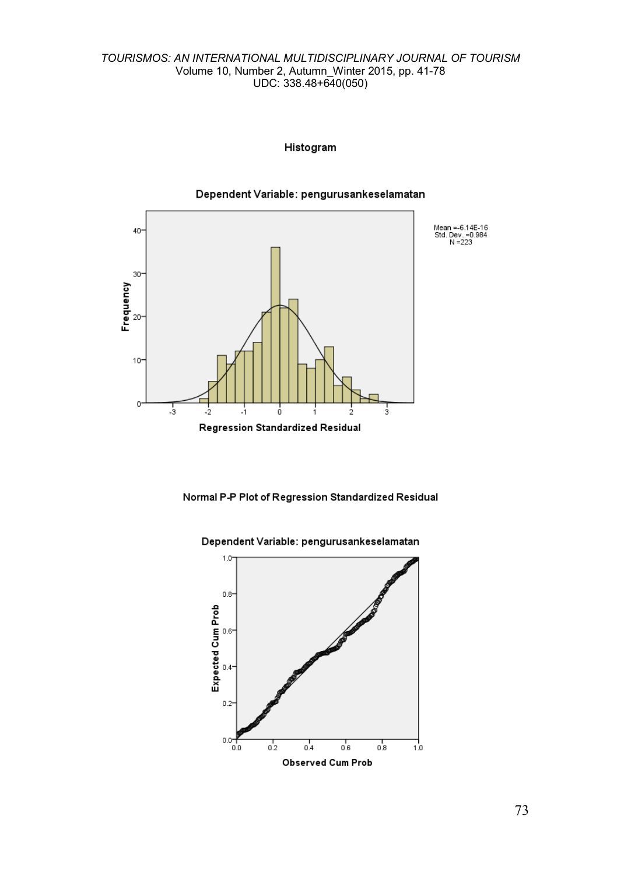### Histogram



Dependent Variable: pengurusankeselamatan

Normal P-P Plot of Regression Standardized Residual



Dependent Variable: pengurusankeselamatan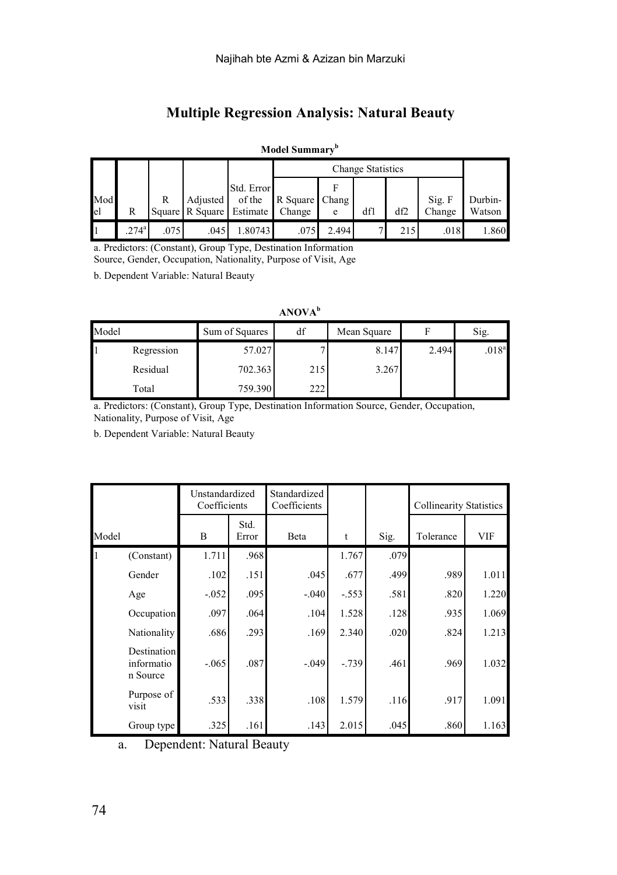# **Multiple Regression Analysis: Natural Beauty**

### **Model Summaryb**

|           |               |      |                                               |                      |                | <b>Change Statistics</b> |     |     |                  |                   |  |
|-----------|---------------|------|-----------------------------------------------|----------------------|----------------|--------------------------|-----|-----|------------------|-------------------|--|
| Mod<br>el |               | R    | Adjusted  <br>Square R Square Estimate Change | Std. Error<br>of the | R Square Chang | e                        | dfl | df2 | Sig. F<br>Change | Durbin-<br>Watson |  |
|           | $274^{\circ}$ | .075 | .045                                          | .80743               | .075           | 2.494                    |     | 215 | .018             | 1.860             |  |

a. Predictors: (Constant), Group Type, Destination Information

Source, Gender, Occupation, Nationality, Purpose of Visit, Age

b. Dependent Variable: Natural Beauty

### **ANOVA<sup>b</sup>**

| Model |            | Sum of Squares<br>df |     | Mean Square |       | Sig.              |  |
|-------|------------|----------------------|-----|-------------|-------|-------------------|--|
|       | Regression | 57.027               |     | 8.147       | 2.494 | .018 <sup>a</sup> |  |
|       | Residual   | 702.363              | 215 | 3.267       |       |                   |  |
|       | Total      | 759.390              | 222 |             |       |                   |  |

a. Predictors: (Constant), Group Type, Destination Information Source, Gender, Occupation, Nationality, Purpose of Visit, Age

b. Dependent Variable: Natural Beauty

|       |                                              | Unstandardized<br>Coefficients |               | Standardized<br>Coefficients |          |      | <b>Collinearity Statistics</b> |            |
|-------|----------------------------------------------|--------------------------------|---------------|------------------------------|----------|------|--------------------------------|------------|
| Model |                                              | B                              | Std.<br>Error | <b>B</b> eta                 | t        | Sig. | Tolerance                      | <b>VIF</b> |
| Iı    | (Constant)                                   | 1.711                          | .968          |                              | 1.767    | .079 |                                |            |
|       | Gender                                       | .102                           | .151          | .045                         | .677     | .499 | .989                           | 1.011      |
|       | Age                                          | $-.052$                        | .095          | $-.040$                      | $-.553$  | .581 | .820                           | 1.220      |
|       | Occupation                                   | .097                           | .064          | .104                         | 1.528    | .128 | .935                           | 1.069      |
|       | Nationality                                  | .686                           | .293          | .169                         | 2.340    | .020 | .824                           | 1.213      |
|       | <b>Destination</b><br>informatio<br>n Source | $-.065$                        | .087          | $-.049$                      | $-0.739$ | .461 | .969                           | 1.032      |
|       | Purpose of<br>visit                          | .533                           | .338          | .108                         | 1.579    | .116 | .917                           | 1.091      |
|       | Group type                                   | .325                           | .161          | .143                         | 2.015    | .045 | .860                           | 1.163      |

a. Dependent: Natural Beauty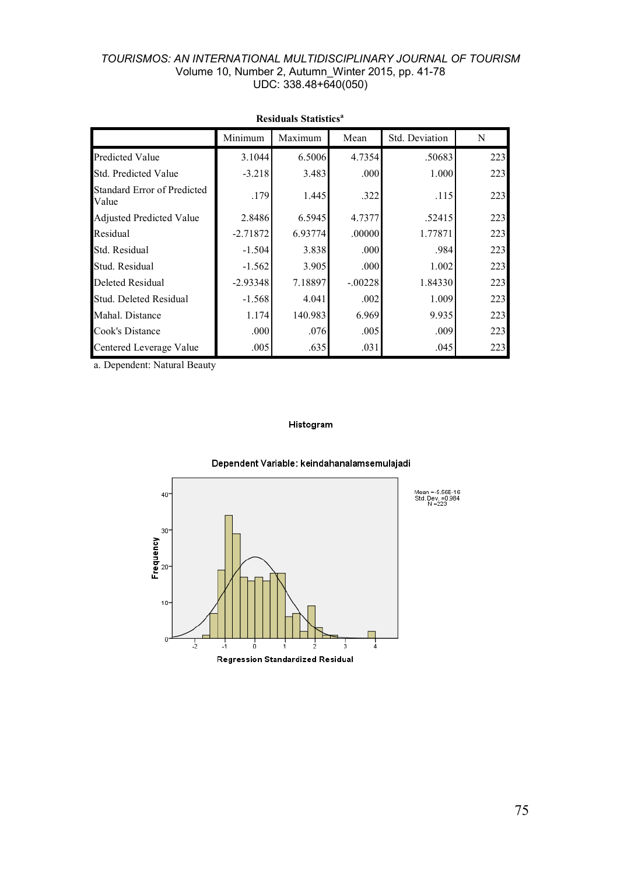|                                      | Minimum    | Maximum | Mean      | Std. Deviation | N   |
|--------------------------------------|------------|---------|-----------|----------------|-----|
| <b>Predicted Value</b>               | 3.1044     | 6.5006  | 4.7354    | .50683         | 223 |
| Std. Predicted Value                 | $-3.218$   | 3.483   | .000.     | 1.000          | 223 |
| Standard Error of Predicted<br>Value | .179       | 1.445   | .322      | .115           | 223 |
| <b>Adjusted Predicted Value</b>      | 2.8486     | 6.5945  | 4.7377    | .52415         | 223 |
| Residual                             | $-2.71872$ | 6.93774 | .00000    | 1.77871        | 223 |
| Std. Residual                        | $-1.504$   | 3.838   | .000      | .984           | 223 |
| Stud. Residual                       | $-1.562$   | 3.905   | .000.     | 1.002          | 223 |
| <b>Deleted Residual</b>              | $-2.93348$ | 7.18897 | $-.00228$ | 1.84330        | 223 |
| Stud. Deleted Residual               | $-1.568$   | 4.041   | .002      | 1.009          | 223 |
| Mahal. Distance                      | 1.174      | 140.983 | 6.969     | 9.935          | 223 |
| Cook's Distance                      | .000       | .076    | .005      | .009           | 223 |
| Centered Leverage Value              | .005       | .635    | .031      | .045           | 223 |

## **Residuals Statistics<sup>a</sup>**

a. Dependent: Natural Beauty

### Histogram



#### Dependent Variable: keindahanalamsemulaiadi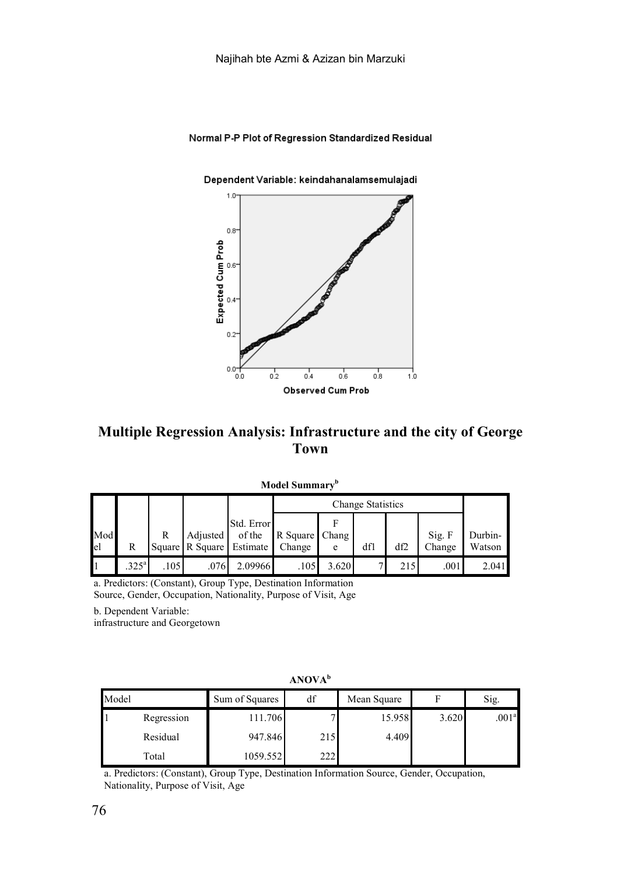### Normal P-P Plot of Regression Standardized Residual

#### Dependent Variable: keindahanalamsemulajadi



## **Multiple Regression Analysis: Infrastructure and the city of George Town**

|     |                   |     |                          |            |                | <b>Change Statistics</b> |     |     |        |         |  |
|-----|-------------------|-----|--------------------------|------------|----------------|--------------------------|-----|-----|--------|---------|--|
|     |                   |     |                          | Std. Error |                |                          |     |     |        |         |  |
| Mod |                   | R   | Adjusted                 | of the     | R Square Chang |                          |     |     | Sig. F | Durbin- |  |
| el  |                   |     | Square R Square Estimate |            | Change         | e                        | dfl | df2 | Change | Watson  |  |
|     | .325 <sup>a</sup> | 105 | .076                     | 2.09966    | .105           | 3.620                    |     | 215 | .001   | 2.041   |  |

**Model Summaryb**

a. Predictors: (Constant), Group Type, Destination Information

Source, Gender, Occupation, Nationality, Purpose of Visit, Age

b. Dependent Variable:

infrastructure and Georgetown

|       |            |                                     | ARU LA |        |       |                   |
|-------|------------|-------------------------------------|--------|--------|-------|-------------------|
| Model |            | df<br>Sum of Squares<br>Mean Square |        |        | Sig.  |                   |
|       | Regression | 111.706                             |        | 15.958 | 3.620 | .001 <sup>a</sup> |
|       | Residual   | 947.846                             | 215    | 4.409  |       |                   |
|       | Total      | 1059.552                            | 222    |        |       |                   |

### **ANOVA<sup>b</sup>**

a. Predictors: (Constant), Group Type, Destination Information Source, Gender, Occupation, Nationality, Purpose of Visit, Age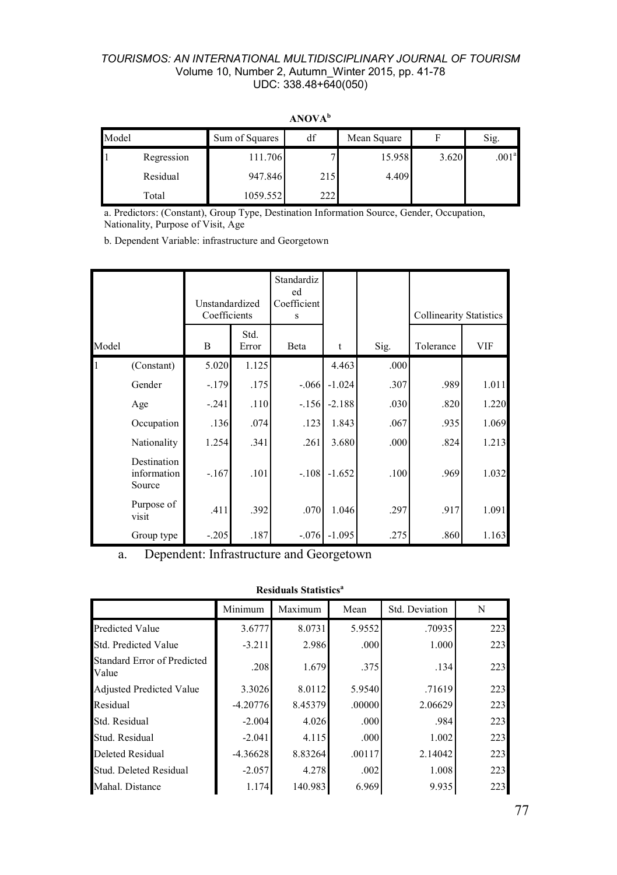| Model |            | df<br>Sum of Squares |     | Mean Square |       | Sig.              |
|-------|------------|----------------------|-----|-------------|-------|-------------------|
|       | Regression | 111.706              |     | 15.958      | 3.620 | .001 <sup>a</sup> |
|       | Residual   | 947.846              | 215 | 4.409       |       |                   |
|       | Total      | 1059.552             | 222 |             |       |                   |

**ANOVA<sup>b</sup>**

a. Predictors: (Constant), Group Type, Destination Information Source, Gender, Occupation, Nationality, Purpose of Visit, Age

b. Dependent Variable: infrastructure and Georgetown

|       |                                      | Unstandardized<br>Coefficients |               | Standardiz<br>ed<br>Coefficient<br>s |          |      | <b>Collinearity Statistics</b> |       |
|-------|--------------------------------------|--------------------------------|---------------|--------------------------------------|----------|------|--------------------------------|-------|
| Model |                                      | B                              | Std.<br>Error | Beta                                 | t        | Sig. | Tolerance                      | VIF   |
| 1     | (Constant)                           | 5.020                          | 1.125         |                                      | 4.463    | .000 |                                |       |
|       | Gender                               | $-179$                         | .175          | $-.066$                              | $-1.024$ | .307 | .989                           | 1.011 |
|       | Age                                  | $-.241$                        | .110          | $-156$                               | $-2.188$ | .030 | .820                           | 1.220 |
|       | Occupation                           | .136                           | .074          | .123                                 | 1.843    | .067 | .935                           | 1.069 |
|       | Nationality                          | 1.254                          | .341          | .261                                 | 3.680    | .000 | .824                           | 1.213 |
|       | Destination<br>information<br>Source | $-167$                         | .101          | $-108$                               | $-1.652$ | .100 | .969                           | 1.032 |
|       | Purpose of<br>visit                  | .411                           | .392          | .070                                 | 1.046    | .297 | .917                           | 1.091 |
|       | Group type                           | $-.205$                        | .187          | $-.076$                              | $-1.095$ | .275 | .860                           | 1.163 |

a. Dependent: Infrastructure and Georgetown

|                                      | Minimum    | Maximum | Mean   | Std. Deviation | N   |
|--------------------------------------|------------|---------|--------|----------------|-----|
| Predicted Value                      | 3.6777     | 8.0731  | 5.9552 | .70935         | 223 |
| Std. Predicted Value                 | $-3.211$   | 2.986   | .000   | 1.000          | 223 |
| Standard Error of Predicted<br>Value | .208       | 1.679   | .375   | .134           | 223 |
| <b>Adjusted Predicted Value</b>      | 3.3026     | 8.0112  | 5.9540 | .71619         | 223 |
| Residual                             | $-4.20776$ | 8.45379 | .00000 | 2.06629        | 223 |
| Std. Residual                        | $-2.004$   | 4.026   | .000   | .984           | 223 |
| Stud. Residual                       | $-2.041$   | 4.115   | .000   | 1.002          | 223 |
| Deleted Residual                     | $-4.36628$ | 8.83264 | .00117 | 2.14042        | 223 |
| Stud. Deleted Residual               | $-2.057$   | 4.278   | .002   | 1.008          | 223 |
| Mahal. Distance                      | 1.174      | 140.983 | 6.969  | 9.935          | 223 |